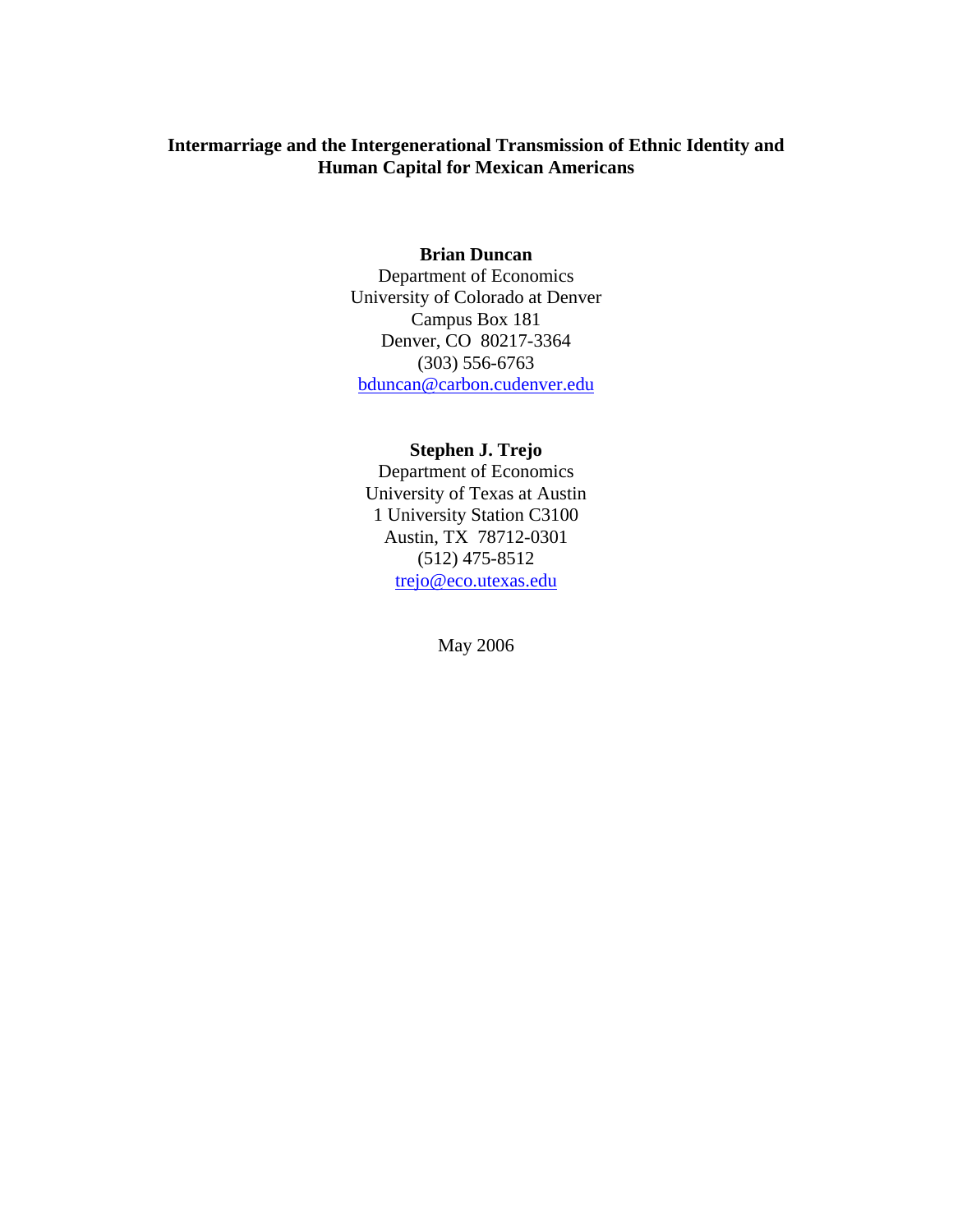## **Intermarriage and the Intergenerational Transmission of Ethnic Identity and Human Capital for Mexican Americans**

### **Brian Duncan**

Department of Economics University of Colorado at Denver Campus Box 181 Denver, CO 80217-3364 (303) 556-6763 bduncan@carbon.cudenver.edu

## **Stephen J. Trejo**

Department of Economics University of Texas at Austin 1 University Station C3100 Austin, TX 78712-0301 (512) 475-8512 trejo@eco.utexas.edu

May 2006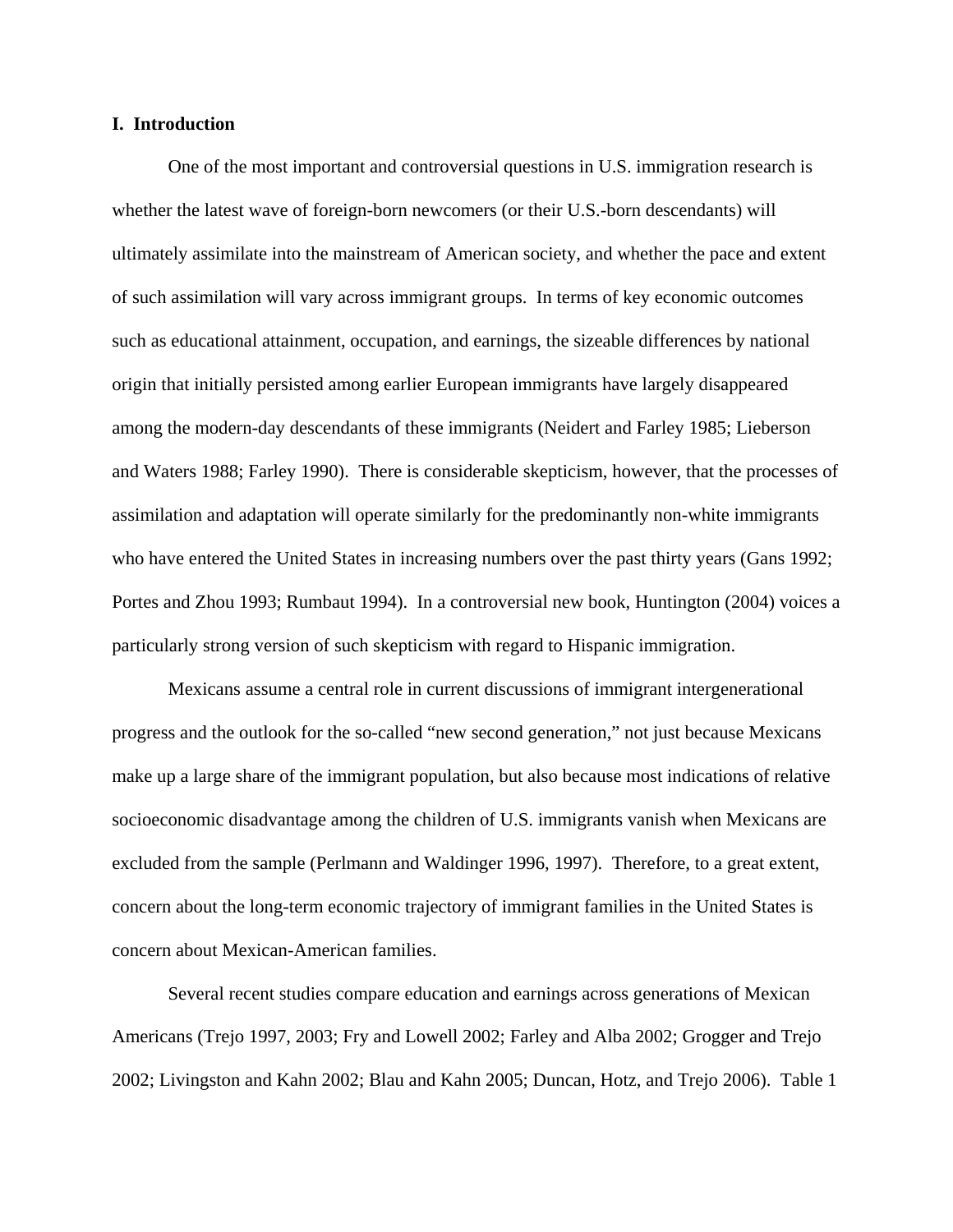### **I. Introduction**

 One of the most important and controversial questions in U.S. immigration research is whether the latest wave of foreign-born newcomers (or their U.S.-born descendants) will ultimately assimilate into the mainstream of American society, and whether the pace and extent of such assimilation will vary across immigrant groups. In terms of key economic outcomes such as educational attainment, occupation, and earnings, the sizeable differences by national origin that initially persisted among earlier European immigrants have largely disappeared among the modern-day descendants of these immigrants (Neidert and Farley 1985; Lieberson and Waters 1988; Farley 1990). There is considerable skepticism, however, that the processes of assimilation and adaptation will operate similarly for the predominantly non-white immigrants who have entered the United States in increasing numbers over the past thirty years (Gans 1992; Portes and Zhou 1993; Rumbaut 1994). In a controversial new book, Huntington (2004) voices a particularly strong version of such skepticism with regard to Hispanic immigration.

 Mexicans assume a central role in current discussions of immigrant intergenerational progress and the outlook for the so-called "new second generation," not just because Mexicans make up a large share of the immigrant population, but also because most indications of relative socioeconomic disadvantage among the children of U.S. immigrants vanish when Mexicans are excluded from the sample (Perlmann and Waldinger 1996, 1997). Therefore, to a great extent, concern about the long-term economic trajectory of immigrant families in the United States is concern about Mexican-American families.

 Several recent studies compare education and earnings across generations of Mexican Americans (Trejo 1997, 2003; Fry and Lowell 2002; Farley and Alba 2002; Grogger and Trejo 2002; Livingston and Kahn 2002; Blau and Kahn 2005; Duncan, Hotz, and Trejo 2006). Table 1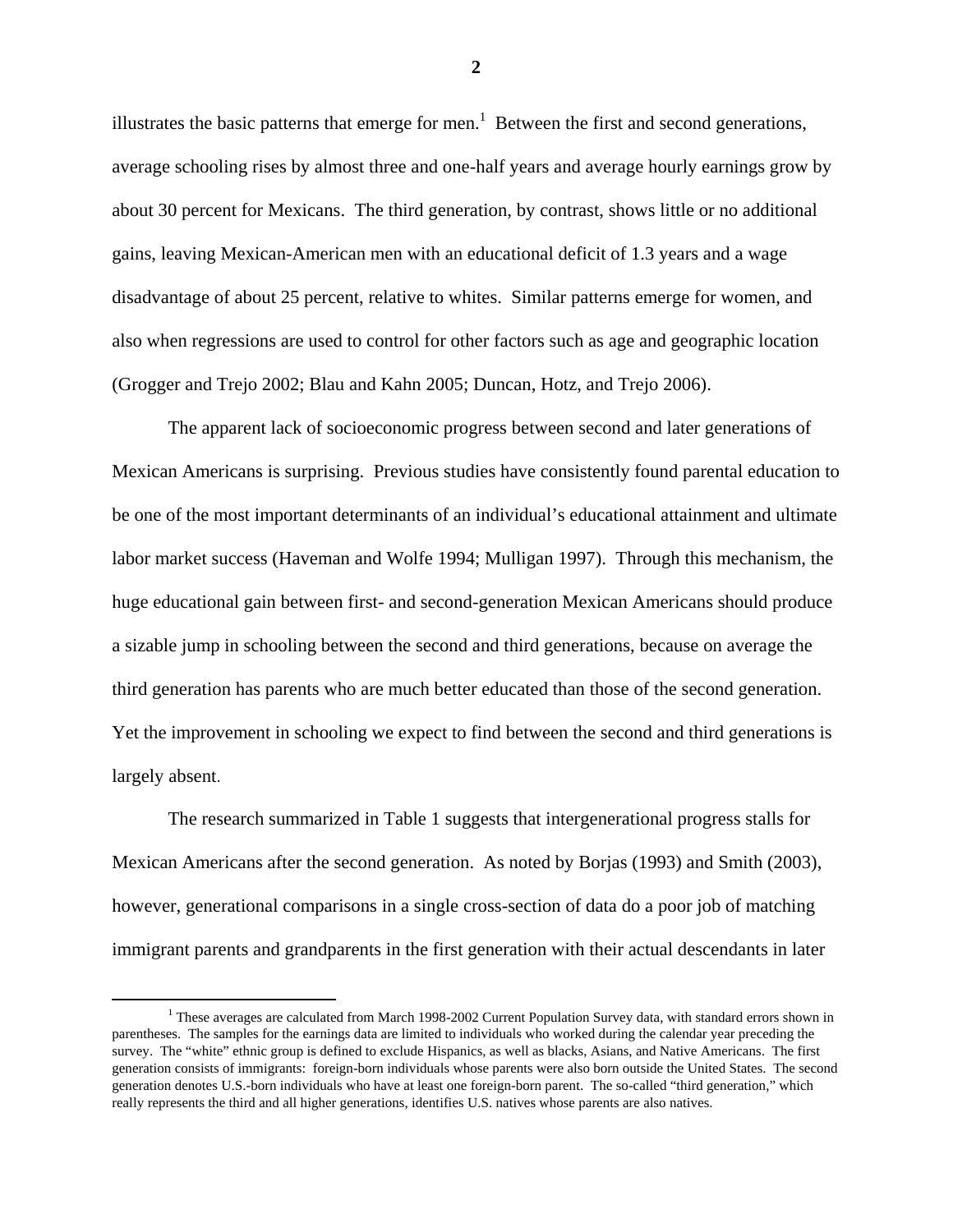illustrates the basic patterns that emerge for men.<sup>1</sup> Between the first and second generations, average schooling rises by almost three and one-half years and average hourly earnings grow by about 30 percent for Mexicans. The third generation, by contrast, shows little or no additional gains, leaving Mexican-American men with an educational deficit of 1.3 years and a wage disadvantage of about 25 percent, relative to whites. Similar patterns emerge for women, and also when regressions are used to control for other factors such as age and geographic location (Grogger and Trejo 2002; Blau and Kahn 2005; Duncan, Hotz, and Trejo 2006).

 The apparent lack of socioeconomic progress between second and later generations of Mexican Americans is surprising. Previous studies have consistently found parental education to be one of the most important determinants of an individual's educational attainment and ultimate labor market success (Haveman and Wolfe 1994; Mulligan 1997). Through this mechanism, the huge educational gain between first- and second-generation Mexican Americans should produce a sizable jump in schooling between the second and third generations, because on average the third generation has parents who are much better educated than those of the second generation. Yet the improvement in schooling we expect to find between the second and third generations is largely absent.

 The research summarized in Table 1 suggests that intergenerational progress stalls for Mexican Americans after the second generation. As noted by Borjas (1993) and Smith (2003), however, generational comparisons in a single cross-section of data do a poor job of matching immigrant parents and grandparents in the first generation with their actual descendants in later

 $\begin{array}{c|c}\n\hline\n\end{array}$  $1$  These averages are calculated from March 1998-2002 Current Population Survey data, with standard errors shown in parentheses. The samples for the earnings data are limited to individuals who worked during the calendar year preceding the survey. The "white" ethnic group is defined to exclude Hispanics, as well as blacks, Asians, and Native Americans. The first generation consists of immigrants: foreign-born individuals whose parents were also born outside the United States. The second generation denotes U.S.-born individuals who have at least one foreign-born parent. The so-called "third generation," which really represents the third and all higher generations, identifies U.S. natives whose parents are also natives.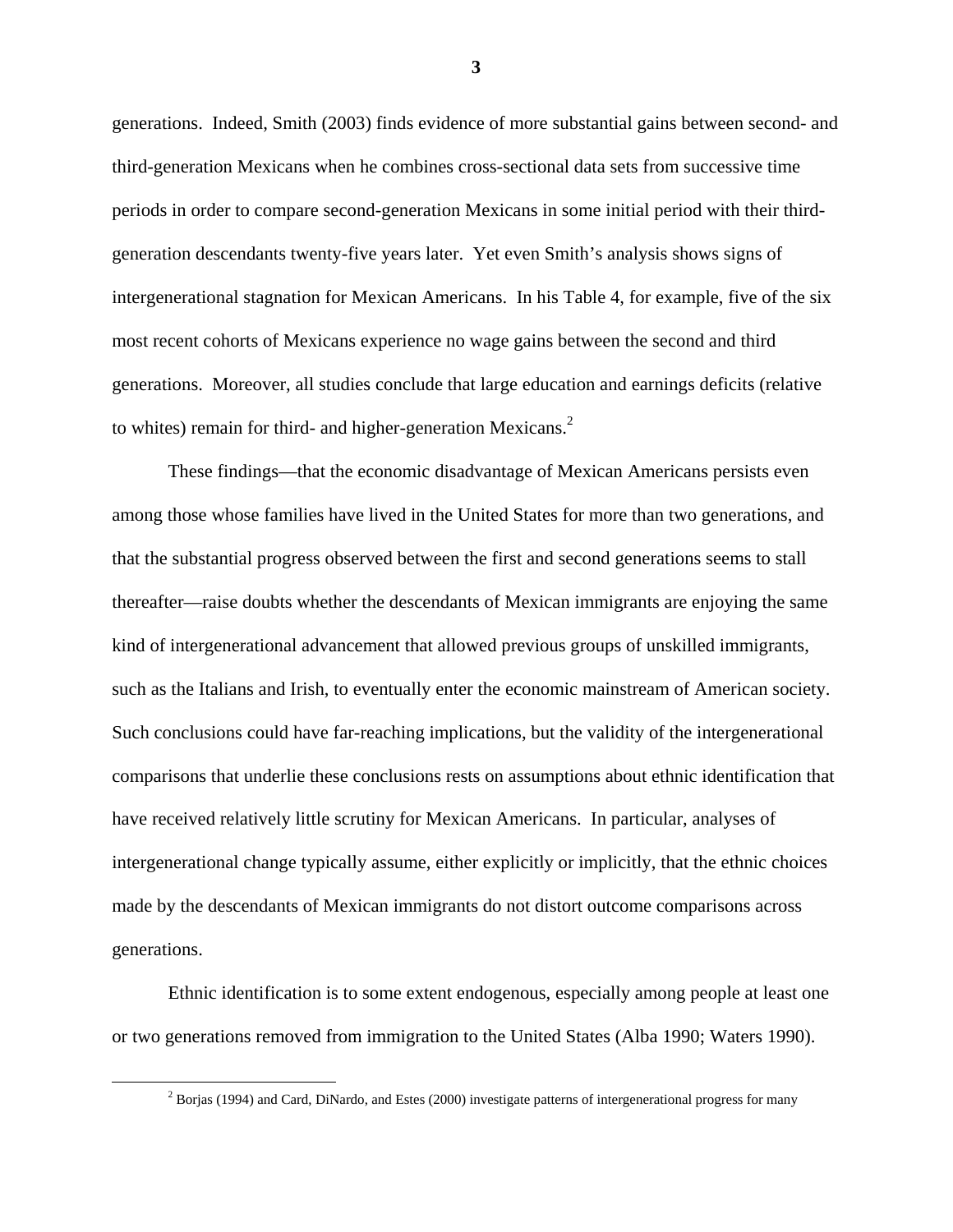generations. Indeed, Smith (2003) finds evidence of more substantial gains between second- and third-generation Mexicans when he combines cross-sectional data sets from successive time periods in order to compare second-generation Mexicans in some initial period with their thirdgeneration descendants twenty-five years later. Yet even Smith's analysis shows signs of intergenerational stagnation for Mexican Americans. In his Table 4, for example, five of the six most recent cohorts of Mexicans experience no wage gains between the second and third generations. Moreover, all studies conclude that large education and earnings deficits (relative to whites) remain for third- and higher-generation Mexicans.<sup>2</sup>

 These findings—that the economic disadvantage of Mexican Americans persists even among those whose families have lived in the United States for more than two generations, and that the substantial progress observed between the first and second generations seems to stall thereafter—raise doubts whether the descendants of Mexican immigrants are enjoying the same kind of intergenerational advancement that allowed previous groups of unskilled immigrants, such as the Italians and Irish, to eventually enter the economic mainstream of American society. Such conclusions could have far-reaching implications, but the validity of the intergenerational comparisons that underlie these conclusions rests on assumptions about ethnic identification that have received relatively little scrutiny for Mexican Americans. In particular, analyses of intergenerational change typically assume, either explicitly or implicitly, that the ethnic choices made by the descendants of Mexican immigrants do not distort outcome comparisons across generations.

 Ethnic identification is to some extent endogenous, especially among people at least one or two generations removed from immigration to the United States (Alba 1990; Waters 1990).

 $\begin{array}{c|c}\n\hline\n\text{2}\n\end{array}$ <sup>2</sup> Borjas (1994) and Card, DiNardo, and Estes (2000) investigate patterns of intergenerational progress for many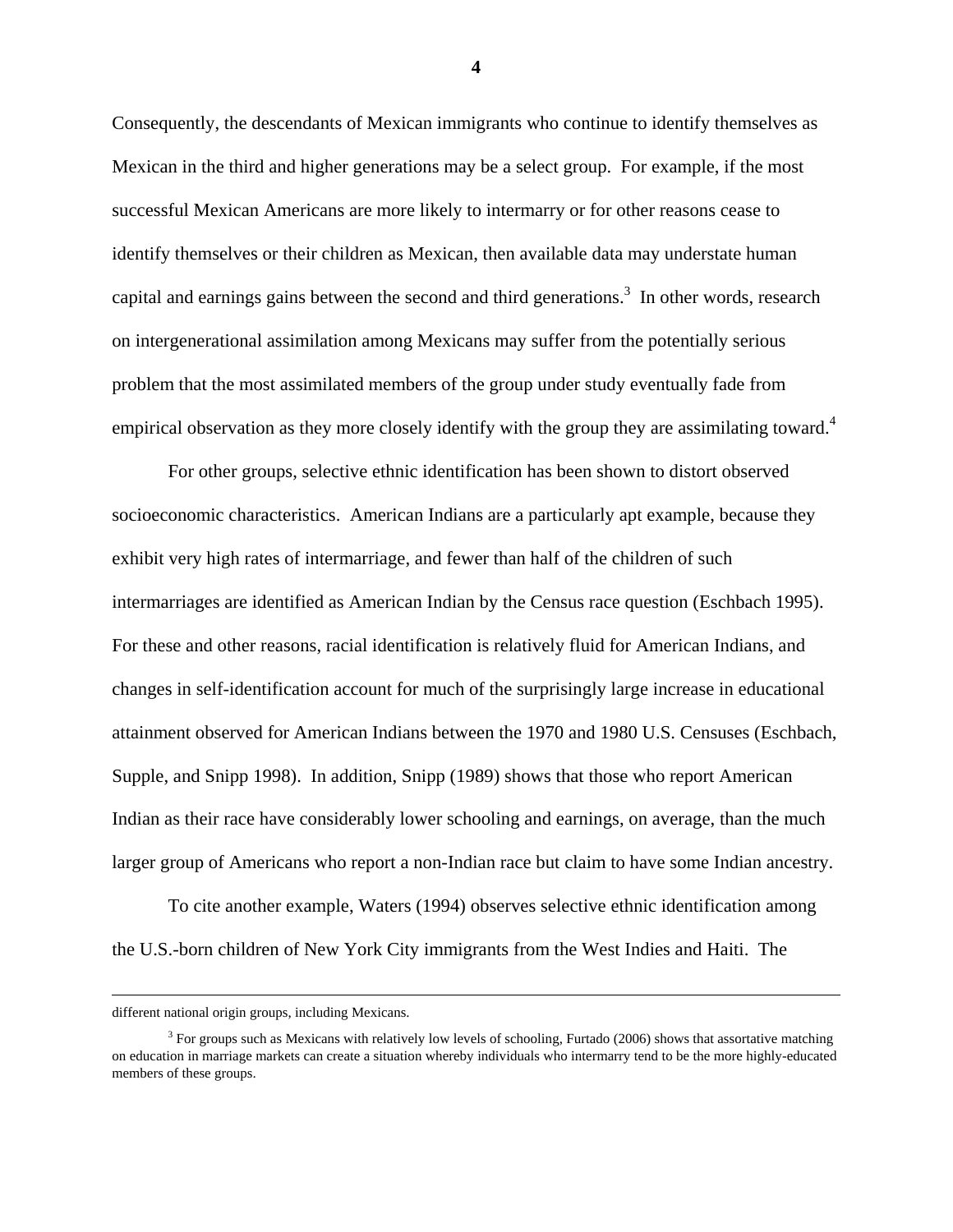Consequently, the descendants of Mexican immigrants who continue to identify themselves as Mexican in the third and higher generations may be a select group. For example, if the most successful Mexican Americans are more likely to intermarry or for other reasons cease to identify themselves or their children as Mexican, then available data may understate human capital and earnings gains between the second and third generations.<sup>3</sup> In other words, research on intergenerational assimilation among Mexicans may suffer from the potentially serious problem that the most assimilated members of the group under study eventually fade from empirical observation as they more closely identify with the group they are assimilating toward.<sup>4</sup>

 For other groups, selective ethnic identification has been shown to distort observed socioeconomic characteristics. American Indians are a particularly apt example, because they exhibit very high rates of intermarriage, and fewer than half of the children of such intermarriages are identified as American Indian by the Census race question (Eschbach 1995). For these and other reasons, racial identification is relatively fluid for American Indians, and changes in self-identification account for much of the surprisingly large increase in educational attainment observed for American Indians between the 1970 and 1980 U.S. Censuses (Eschbach, Supple, and Snipp 1998). In addition, Snipp (1989) shows that those who report American Indian as their race have considerably lower schooling and earnings, on average, than the much larger group of Americans who report a non-Indian race but claim to have some Indian ancestry.

 To cite another example, Waters (1994) observes selective ethnic identification among the U.S.-born children of New York City immigrants from the West Indies and Haiti. The

different national origin groups, including Mexicans.

<sup>&</sup>lt;sup>3</sup> For groups such as Mexicans with relatively low levels of schooling, Furtado (2006) shows that assortative matching on education in marriage markets can create a situation whereby individuals who intermarry tend to be the more highly-educated members of these groups.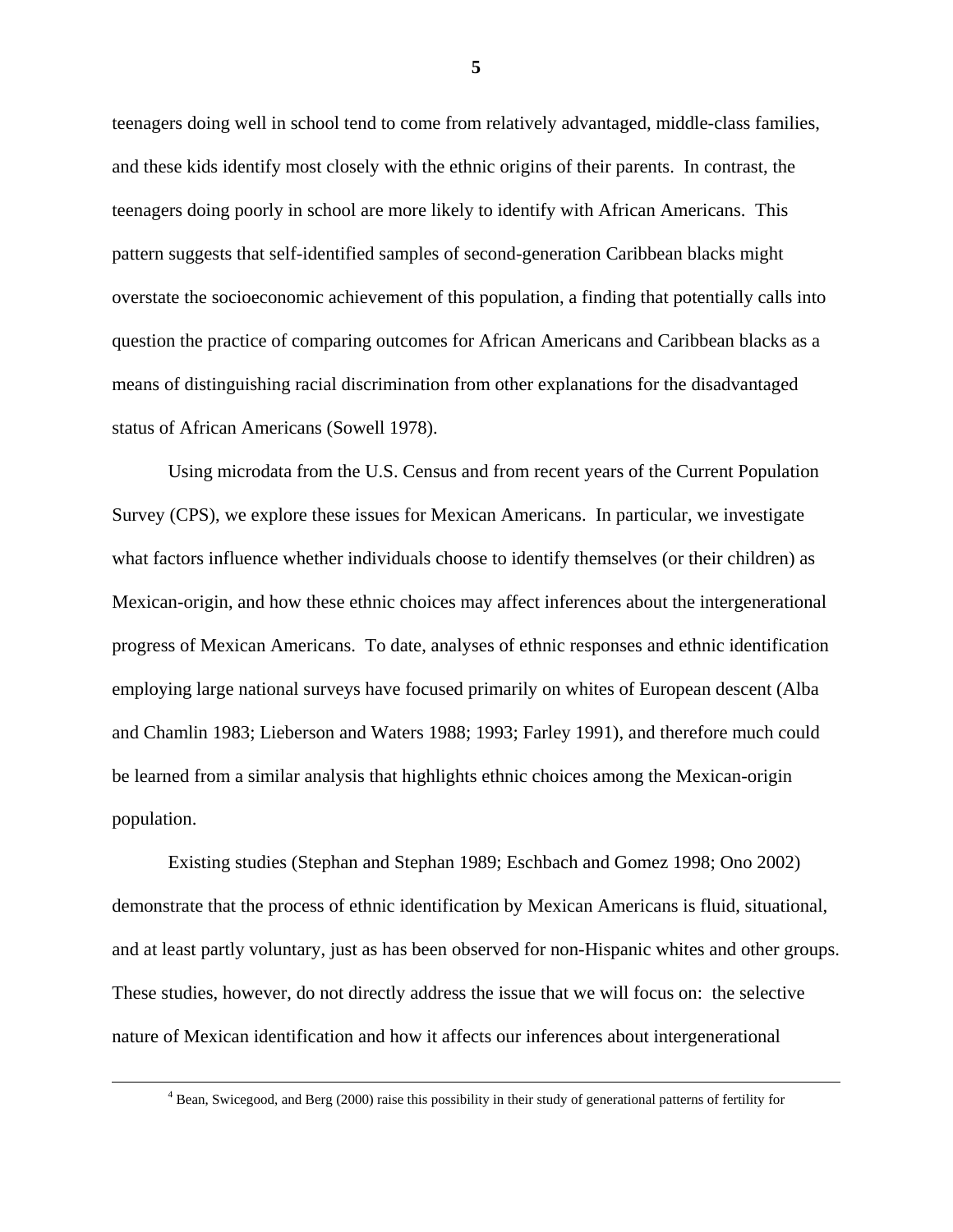teenagers doing well in school tend to come from relatively advantaged, middle-class families, and these kids identify most closely with the ethnic origins of their parents. In contrast, the teenagers doing poorly in school are more likely to identify with African Americans. This pattern suggests that self-identified samples of second-generation Caribbean blacks might overstate the socioeconomic achievement of this population, a finding that potentially calls into question the practice of comparing outcomes for African Americans and Caribbean blacks as a means of distinguishing racial discrimination from other explanations for the disadvantaged status of African Americans (Sowell 1978).

 Using microdata from the U.S. Census and from recent years of the Current Population Survey (CPS), we explore these issues for Mexican Americans. In particular, we investigate what factors influence whether individuals choose to identify themselves (or their children) as Mexican-origin, and how these ethnic choices may affect inferences about the intergenerational progress of Mexican Americans. To date, analyses of ethnic responses and ethnic identification employing large national surveys have focused primarily on whites of European descent (Alba and Chamlin 1983; Lieberson and Waters 1988; 1993; Farley 1991), and therefore much could be learned from a similar analysis that highlights ethnic choices among the Mexican-origin population.

 Existing studies (Stephan and Stephan 1989; Eschbach and Gomez 1998; Ono 2002) demonstrate that the process of ethnic identification by Mexican Americans is fluid, situational, and at least partly voluntary, just as has been observed for non-Hispanic whites and other groups. These studies, however, do not directly address the issue that we will focus on: the selective nature of Mexican identification and how it affects our inferences about intergenerational

 $\frac{1}{4}$ <sup>4</sup> Bean, Swicegood, and Berg (2000) raise this possibility in their study of generational patterns of fertility for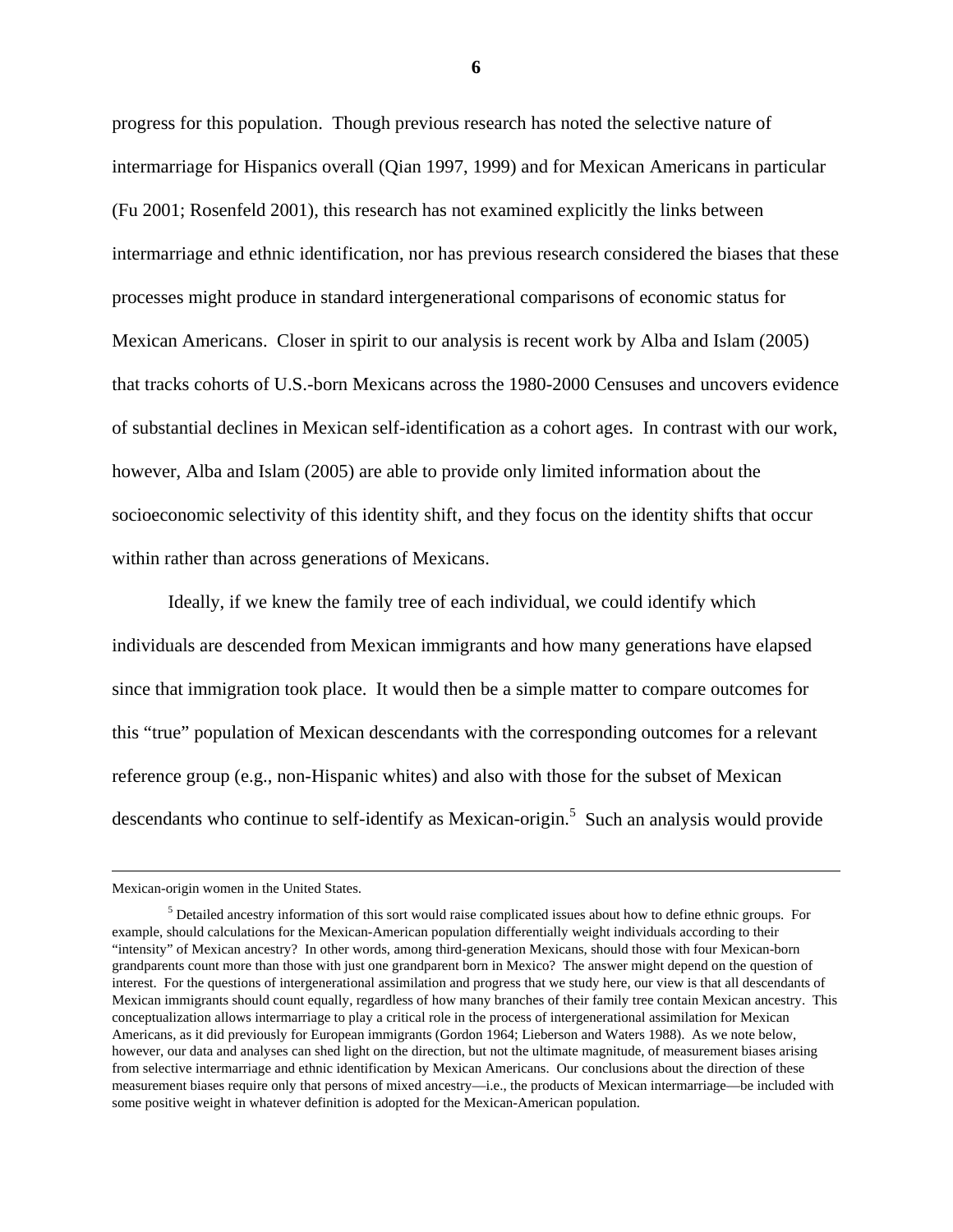progress for this population. Though previous research has noted the selective nature of intermarriage for Hispanics overall (Qian 1997, 1999) and for Mexican Americans in particular (Fu 2001; Rosenfeld 2001), this research has not examined explicitly the links between intermarriage and ethnic identification, nor has previous research considered the biases that these processes might produce in standard intergenerational comparisons of economic status for Mexican Americans. Closer in spirit to our analysis is recent work by Alba and Islam (2005) that tracks cohorts of U.S.-born Mexicans across the 1980-2000 Censuses and uncovers evidence of substantial declines in Mexican self-identification as a cohort ages. In contrast with our work, however, Alba and Islam (2005) are able to provide only limited information about the socioeconomic selectivity of this identity shift, and they focus on the identity shifts that occur within rather than across generations of Mexicans.

 Ideally, if we knew the family tree of each individual, we could identify which individuals are descended from Mexican immigrants and how many generations have elapsed since that immigration took place. It would then be a simple matter to compare outcomes for this "true" population of Mexican descendants with the corresponding outcomes for a relevant reference group (e.g., non-Hispanic whites) and also with those for the subset of Mexican descendants who continue to self-identify as Mexican-origin.<sup>5</sup> Such an analysis would provide

Mexican-origin women in the United States.

<sup>&</sup>lt;sup>5</sup> Detailed ancestry information of this sort would raise complicated issues about how to define ethnic groups. For example, should calculations for the Mexican-American population differentially weight individuals according to their "intensity" of Mexican ancestry? In other words, among third-generation Mexicans, should those with four Mexican-born grandparents count more than those with just one grandparent born in Mexico? The answer might depend on the question of interest. For the questions of intergenerational assimilation and progress that we study here, our view is that all descendants of Mexican immigrants should count equally, regardless of how many branches of their family tree contain Mexican ancestry. This conceptualization allows intermarriage to play a critical role in the process of intergenerational assimilation for Mexican Americans, as it did previously for European immigrants (Gordon 1964; Lieberson and Waters 1988). As we note below, however, our data and analyses can shed light on the direction, but not the ultimate magnitude, of measurement biases arising from selective intermarriage and ethnic identification by Mexican Americans. Our conclusions about the direction of these measurement biases require only that persons of mixed ancestry—i.e., the products of Mexican intermarriage—be included with some positive weight in whatever definition is adopted for the Mexican-American population.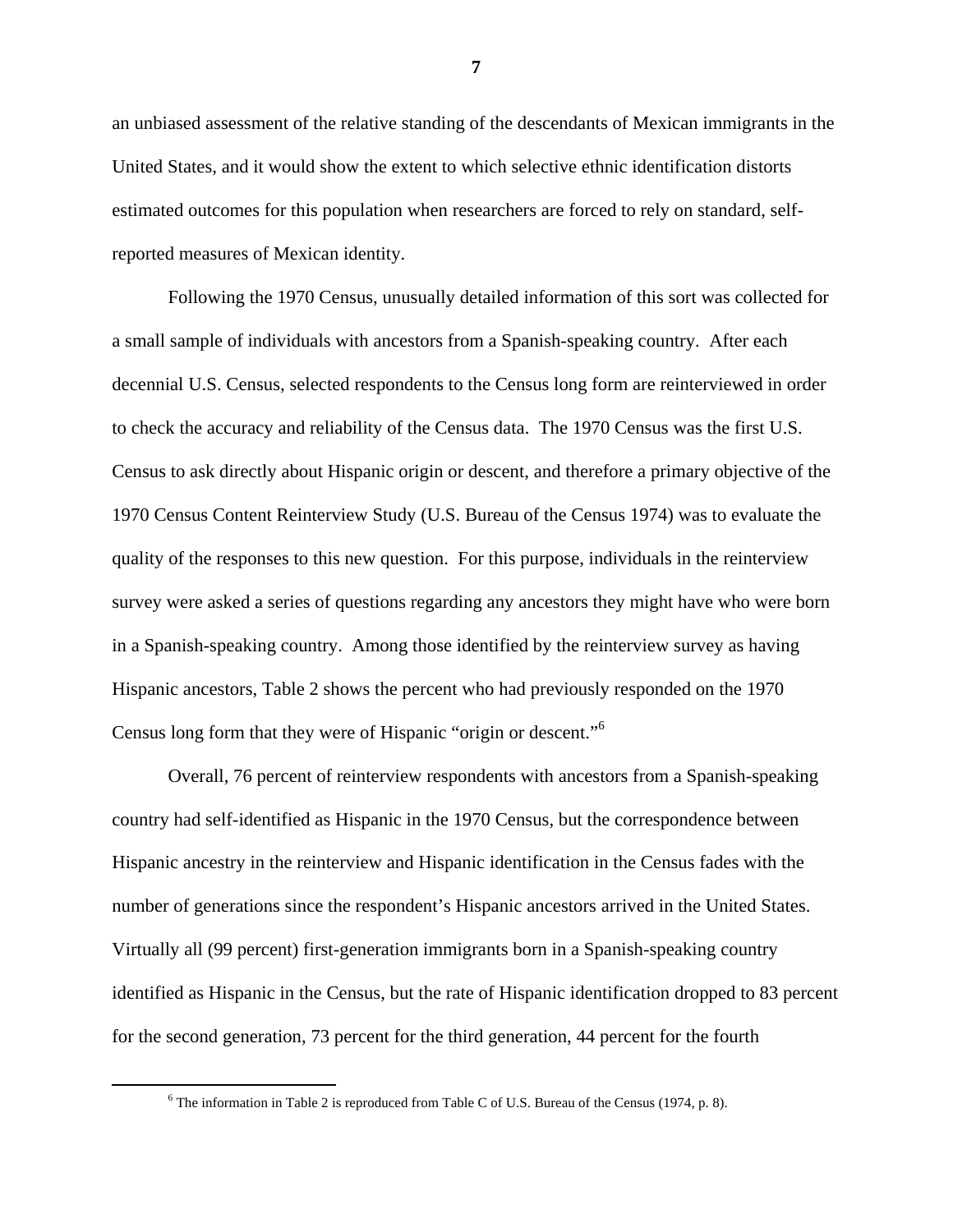an unbiased assessment of the relative standing of the descendants of Mexican immigrants in the United States, and it would show the extent to which selective ethnic identification distorts estimated outcomes for this population when researchers are forced to rely on standard, selfreported measures of Mexican identity.

 Following the 1970 Census, unusually detailed information of this sort was collected for a small sample of individuals with ancestors from a Spanish-speaking country. After each decennial U.S. Census, selected respondents to the Census long form are reinterviewed in order to check the accuracy and reliability of the Census data. The 1970 Census was the first U.S. Census to ask directly about Hispanic origin or descent, and therefore a primary objective of the 1970 Census Content Reinterview Study (U.S. Bureau of the Census 1974) was to evaluate the quality of the responses to this new question. For this purpose, individuals in the reinterview survey were asked a series of questions regarding any ancestors they might have who were born in a Spanish-speaking country. Among those identified by the reinterview survey as having Hispanic ancestors, Table 2 shows the percent who had previously responded on the 1970 Census long form that they were of Hispanic "origin or descent."<sup>6</sup>

 Overall, 76 percent of reinterview respondents with ancestors from a Spanish-speaking country had self-identified as Hispanic in the 1970 Census, but the correspondence between Hispanic ancestry in the reinterview and Hispanic identification in the Census fades with the number of generations since the respondent's Hispanic ancestors arrived in the United States. Virtually all (99 percent) first-generation immigrants born in a Spanish-speaking country identified as Hispanic in the Census, but the rate of Hispanic identification dropped to 83 percent for the second generation, 73 percent for the third generation, 44 percent for the fourth

 <sup>6</sup>  $6$  The information in Table 2 is reproduced from Table C of U.S. Bureau of the Census (1974, p. 8).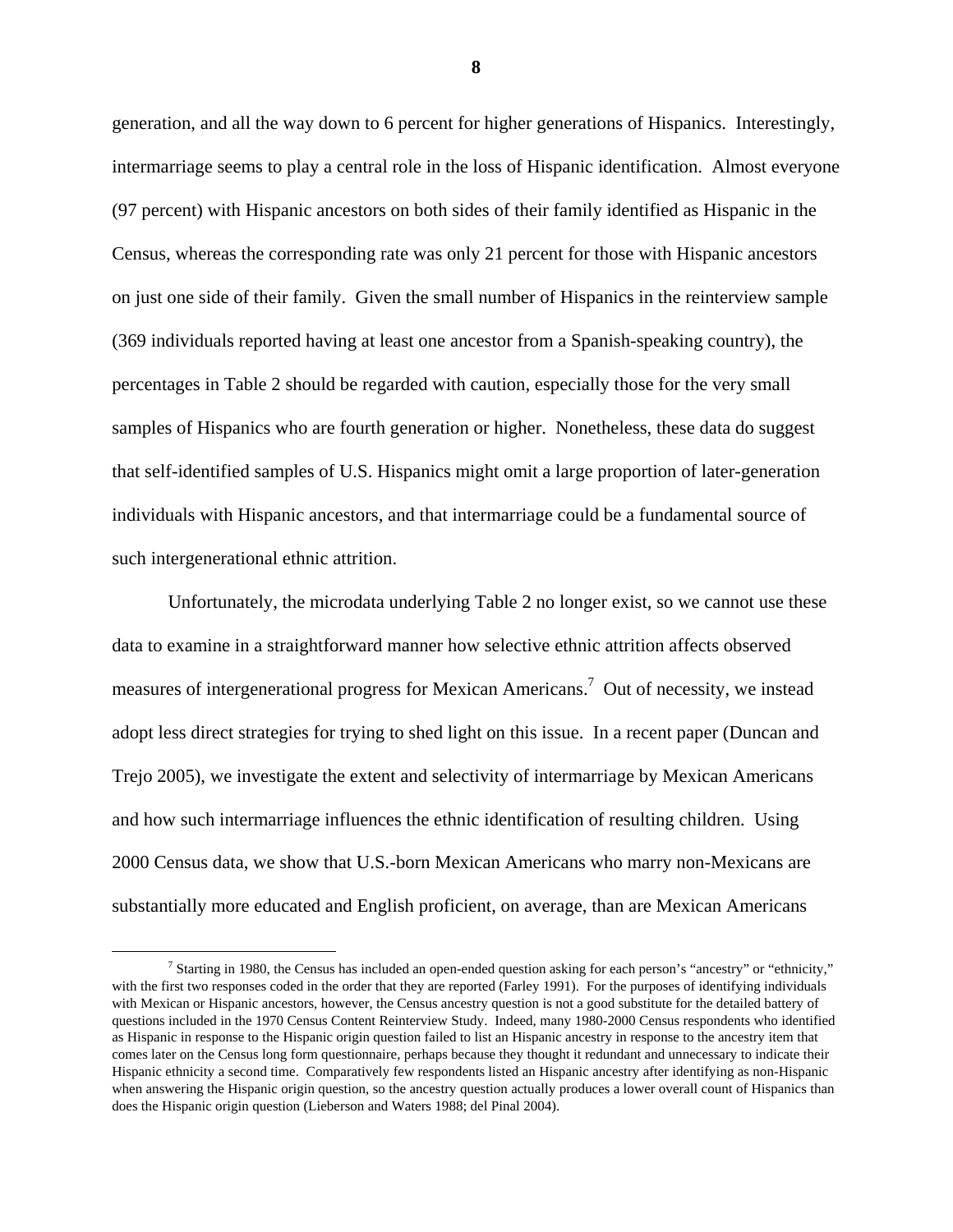generation, and all the way down to 6 percent for higher generations of Hispanics. Interestingly, intermarriage seems to play a central role in the loss of Hispanic identification. Almost everyone (97 percent) with Hispanic ancestors on both sides of their family identified as Hispanic in the Census, whereas the corresponding rate was only 21 percent for those with Hispanic ancestors on just one side of their family. Given the small number of Hispanics in the reinterview sample (369 individuals reported having at least one ancestor from a Spanish-speaking country), the percentages in Table 2 should be regarded with caution, especially those for the very small samples of Hispanics who are fourth generation or higher. Nonetheless, these data do suggest that self-identified samples of U.S. Hispanics might omit a large proportion of later-generation individuals with Hispanic ancestors, and that intermarriage could be a fundamental source of such intergenerational ethnic attrition.

 Unfortunately, the microdata underlying Table 2 no longer exist, so we cannot use these data to examine in a straightforward manner how selective ethnic attrition affects observed measures of intergenerational progress for Mexican Americans.<sup>7</sup> Out of necessity, we instead adopt less direct strategies for trying to shed light on this issue. In a recent paper (Duncan and Trejo 2005), we investigate the extent and selectivity of intermarriage by Mexican Americans and how such intermarriage influences the ethnic identification of resulting children. Using 2000 Census data, we show that U.S.-born Mexican Americans who marry non-Mexicans are substantially more educated and English proficient, on average, than are Mexican Americans

 $\frac{1}{7}$  $^7$  Starting in 1980, the Census has included an open-ended question asking for each person's "ancestry" or "ethnicity," with the first two responses coded in the order that they are reported (Farley 1991). For the purposes of identifying individuals with Mexican or Hispanic ancestors, however, the Census ancestry question is not a good substitute for the detailed battery of questions included in the 1970 Census Content Reinterview Study. Indeed, many 1980-2000 Census respondents who identified as Hispanic in response to the Hispanic origin question failed to list an Hispanic ancestry in response to the ancestry item that comes later on the Census long form questionnaire, perhaps because they thought it redundant and unnecessary to indicate their Hispanic ethnicity a second time. Comparatively few respondents listed an Hispanic ancestry after identifying as non-Hispanic when answering the Hispanic origin question, so the ancestry question actually produces a lower overall count of Hispanics than does the Hispanic origin question (Lieberson and Waters 1988; del Pinal 2004).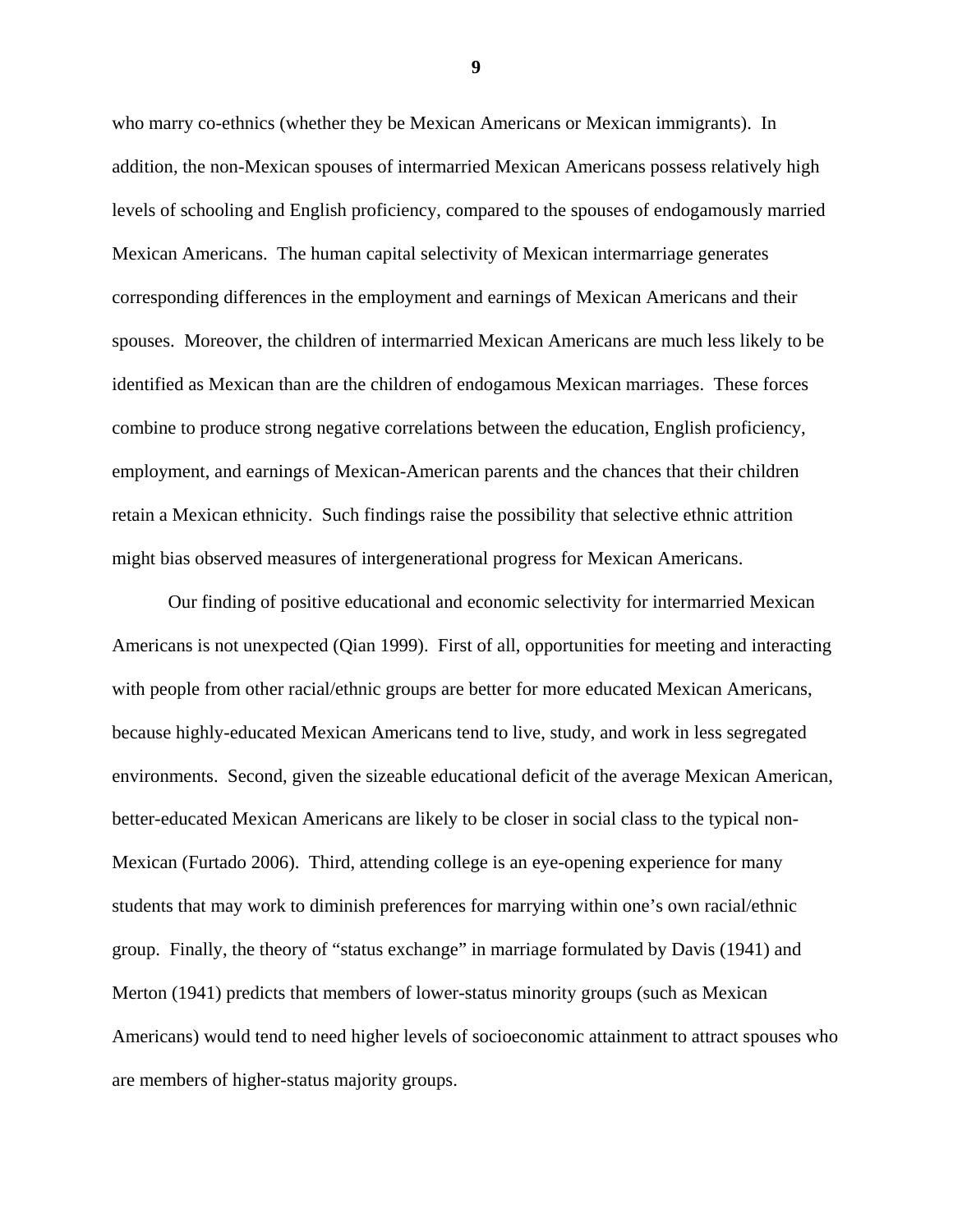who marry co-ethnics (whether they be Mexican Americans or Mexican immigrants). In addition, the non-Mexican spouses of intermarried Mexican Americans possess relatively high levels of schooling and English proficiency, compared to the spouses of endogamously married Mexican Americans. The human capital selectivity of Mexican intermarriage generates corresponding differences in the employment and earnings of Mexican Americans and their spouses. Moreover, the children of intermarried Mexican Americans are much less likely to be identified as Mexican than are the children of endogamous Mexican marriages. These forces combine to produce strong negative correlations between the education, English proficiency, employment, and earnings of Mexican-American parents and the chances that their children retain a Mexican ethnicity. Such findings raise the possibility that selective ethnic attrition might bias observed measures of intergenerational progress for Mexican Americans.

 Our finding of positive educational and economic selectivity for intermarried Mexican Americans is not unexpected (Qian 1999). First of all, opportunities for meeting and interacting with people from other racial/ethnic groups are better for more educated Mexican Americans, because highly-educated Mexican Americans tend to live, study, and work in less segregated environments. Second, given the sizeable educational deficit of the average Mexican American, better-educated Mexican Americans are likely to be closer in social class to the typical non-Mexican (Furtado 2006). Third, attending college is an eye-opening experience for many students that may work to diminish preferences for marrying within one's own racial/ethnic group. Finally, the theory of "status exchange" in marriage formulated by Davis (1941) and Merton (1941) predicts that members of lower-status minority groups (such as Mexican Americans) would tend to need higher levels of socioeconomic attainment to attract spouses who are members of higher-status majority groups.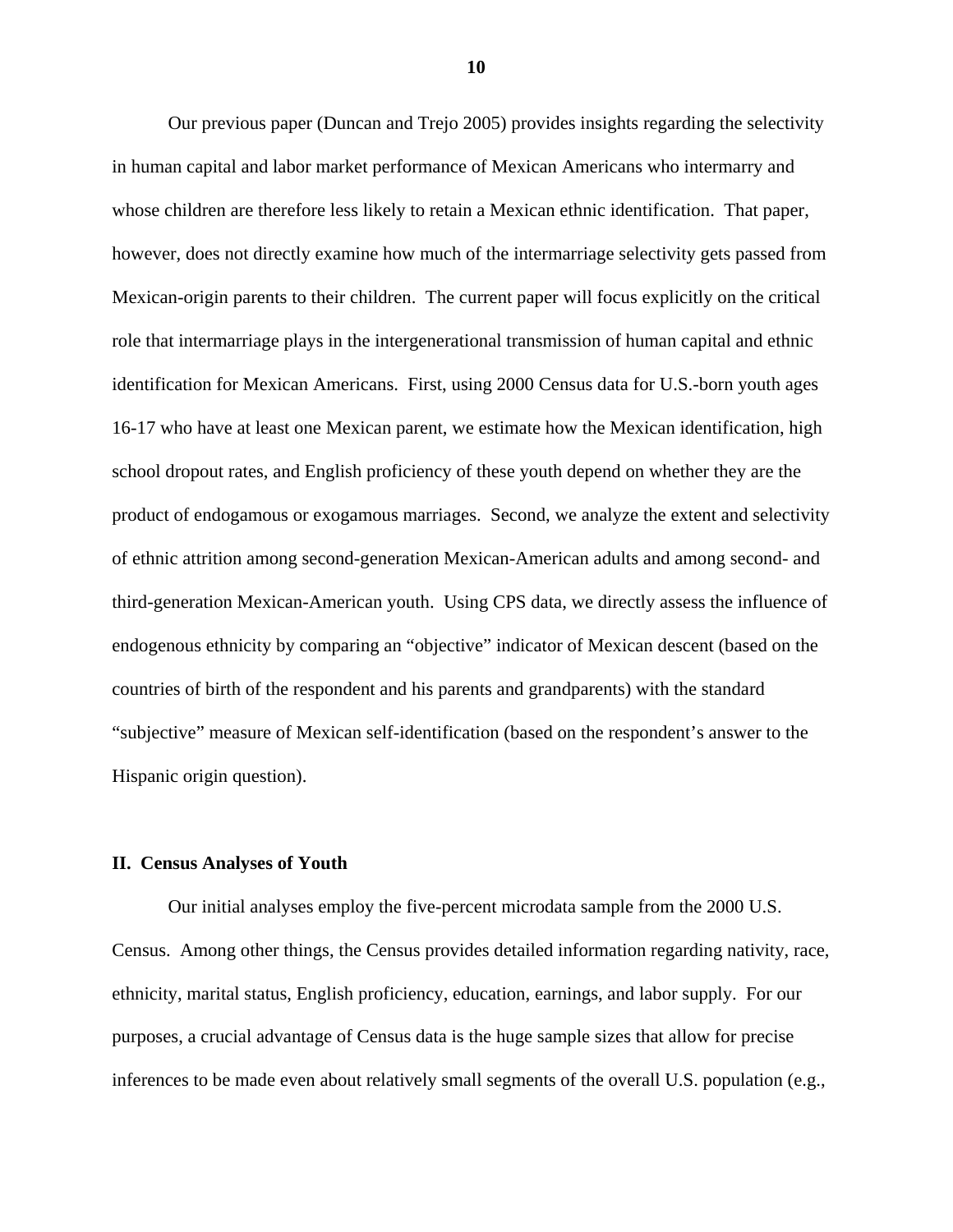Our previous paper (Duncan and Trejo 2005) provides insights regarding the selectivity in human capital and labor market performance of Mexican Americans who intermarry and whose children are therefore less likely to retain a Mexican ethnic identification. That paper, however, does not directly examine how much of the intermarriage selectivity gets passed from Mexican-origin parents to their children. The current paper will focus explicitly on the critical role that intermarriage plays in the intergenerational transmission of human capital and ethnic identification for Mexican Americans. First, using 2000 Census data for U.S.-born youth ages 16-17 who have at least one Mexican parent, we estimate how the Mexican identification, high school dropout rates, and English proficiency of these youth depend on whether they are the product of endogamous or exogamous marriages. Second, we analyze the extent and selectivity of ethnic attrition among second-generation Mexican-American adults and among second- and third-generation Mexican-American youth. Using CPS data, we directly assess the influence of endogenous ethnicity by comparing an "objective" indicator of Mexican descent (based on the countries of birth of the respondent and his parents and grandparents) with the standard "subjective" measure of Mexican self-identification (based on the respondent's answer to the Hispanic origin question).

### **II. Census Analyses of Youth**

 Our initial analyses employ the five-percent microdata sample from the 2000 U.S. Census. Among other things, the Census provides detailed information regarding nativity, race, ethnicity, marital status, English proficiency, education, earnings, and labor supply. For our purposes, a crucial advantage of Census data is the huge sample sizes that allow for precise inferences to be made even about relatively small segments of the overall U.S. population (e.g.,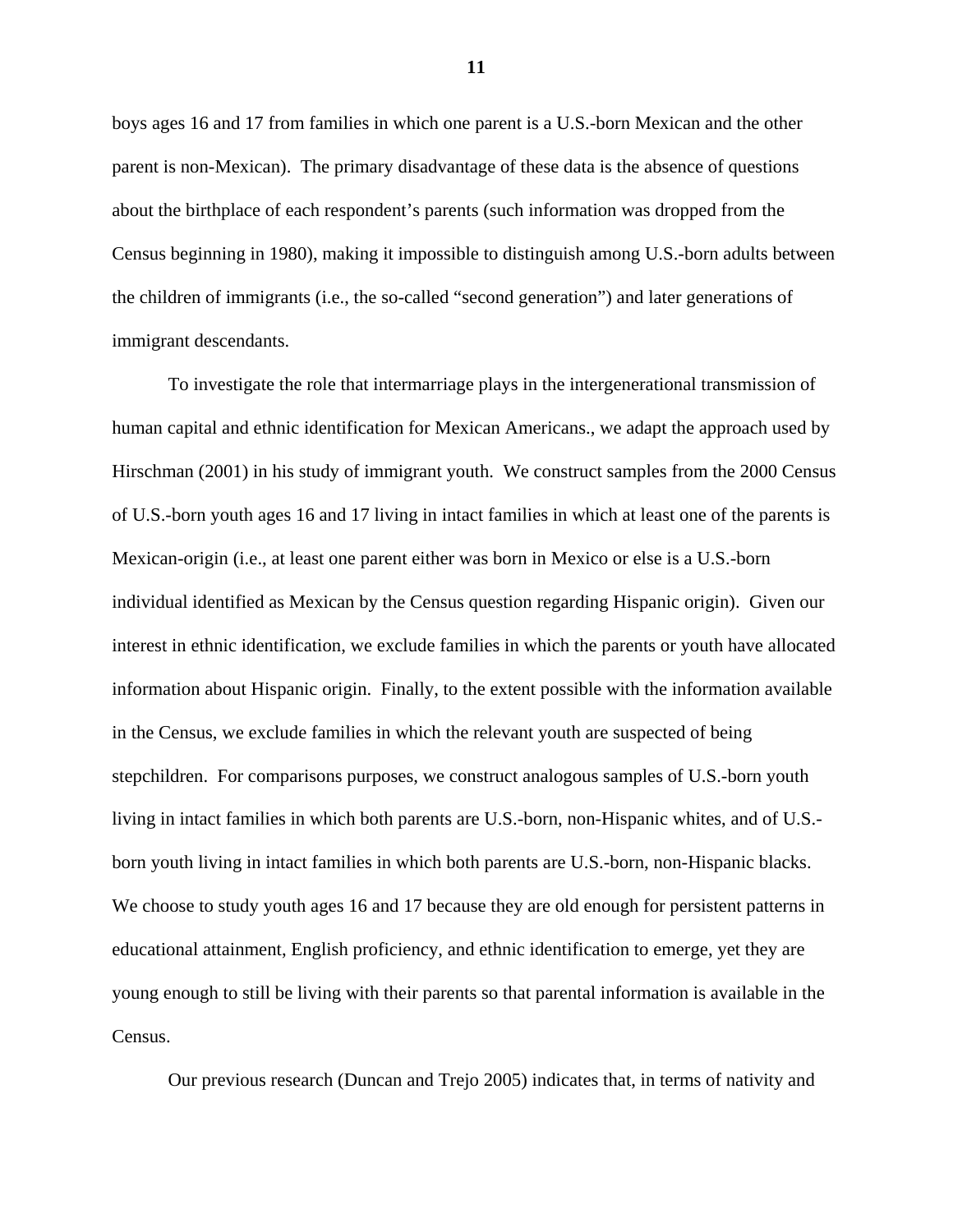boys ages 16 and 17 from families in which one parent is a U.S.-born Mexican and the other parent is non-Mexican). The primary disadvantage of these data is the absence of questions about the birthplace of each respondent's parents (such information was dropped from the Census beginning in 1980), making it impossible to distinguish among U.S.-born adults between the children of immigrants (i.e., the so-called "second generation") and later generations of immigrant descendants.

 To investigate the role that intermarriage plays in the intergenerational transmission of human capital and ethnic identification for Mexican Americans., we adapt the approach used by Hirschman (2001) in his study of immigrant youth. We construct samples from the 2000 Census of U.S.-born youth ages 16 and 17 living in intact families in which at least one of the parents is Mexican-origin (i.e., at least one parent either was born in Mexico or else is a U.S.-born individual identified as Mexican by the Census question regarding Hispanic origin). Given our interest in ethnic identification, we exclude families in which the parents or youth have allocated information about Hispanic origin. Finally, to the extent possible with the information available in the Census, we exclude families in which the relevant youth are suspected of being stepchildren. For comparisons purposes, we construct analogous samples of U.S.-born youth living in intact families in which both parents are U.S.-born, non-Hispanic whites, and of U.S. born youth living in intact families in which both parents are U.S.-born, non-Hispanic blacks. We choose to study youth ages 16 and 17 because they are old enough for persistent patterns in educational attainment, English proficiency, and ethnic identification to emerge, yet they are young enough to still be living with their parents so that parental information is available in the Census.

Our previous research (Duncan and Trejo 2005) indicates that, in terms of nativity and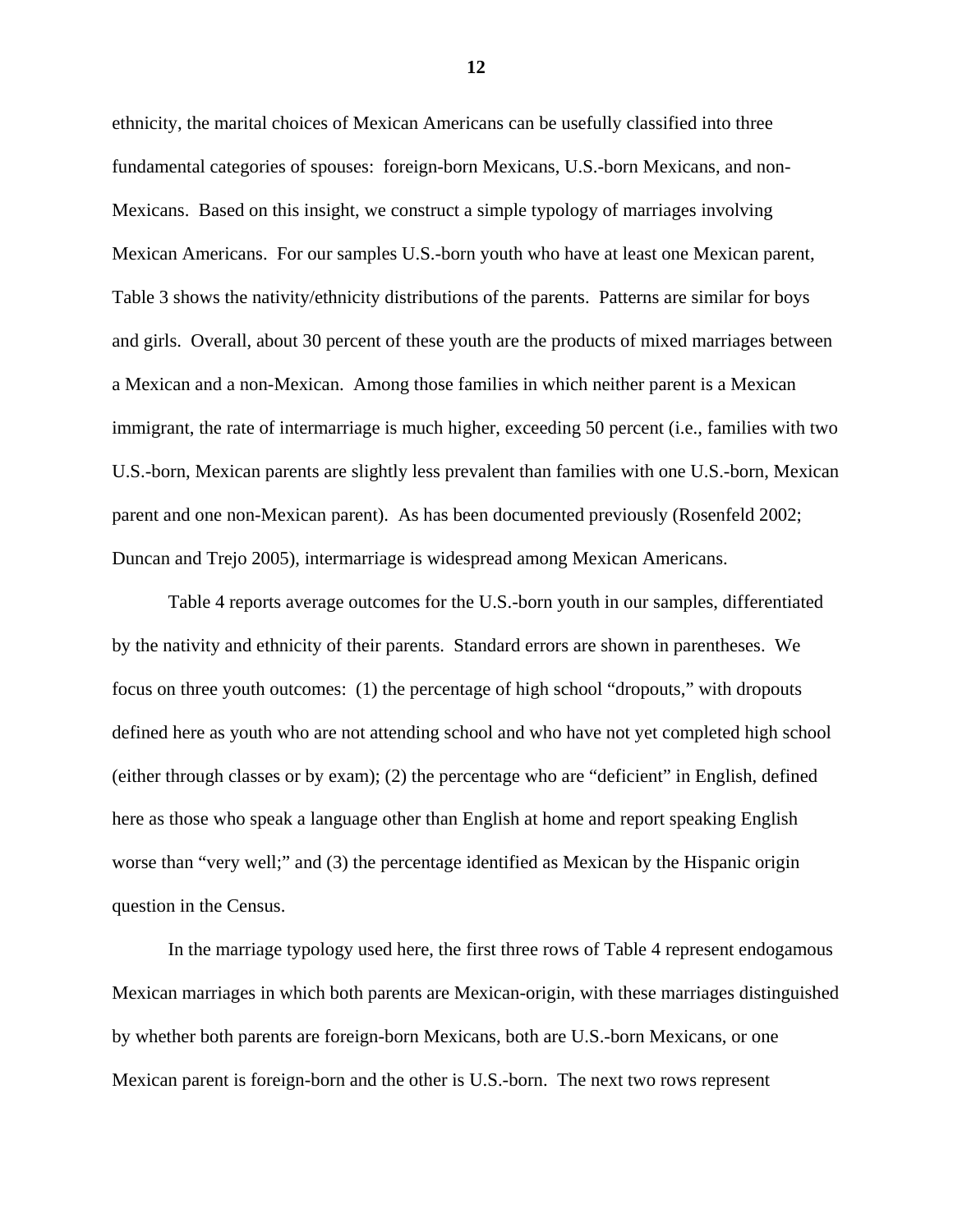ethnicity, the marital choices of Mexican Americans can be usefully classified into three fundamental categories of spouses: foreign-born Mexicans, U.S.-born Mexicans, and non-Mexicans. Based on this insight, we construct a simple typology of marriages involving Mexican Americans. For our samples U.S.-born youth who have at least one Mexican parent, Table 3 shows the nativity/ethnicity distributions of the parents. Patterns are similar for boys and girls. Overall, about 30 percent of these youth are the products of mixed marriages between a Mexican and a non-Mexican. Among those families in which neither parent is a Mexican immigrant, the rate of intermarriage is much higher, exceeding 50 percent (i.e., families with two U.S.-born, Mexican parents are slightly less prevalent than families with one U.S.-born, Mexican parent and one non-Mexican parent). As has been documented previously (Rosenfeld 2002; Duncan and Trejo 2005), intermarriage is widespread among Mexican Americans.

 Table 4 reports average outcomes for the U.S.-born youth in our samples, differentiated by the nativity and ethnicity of their parents. Standard errors are shown in parentheses. We focus on three youth outcomes: (1) the percentage of high school "dropouts," with dropouts defined here as youth who are not attending school and who have not yet completed high school (either through classes or by exam); (2) the percentage who are "deficient" in English, defined here as those who speak a language other than English at home and report speaking English worse than "very well;" and (3) the percentage identified as Mexican by the Hispanic origin question in the Census.

 In the marriage typology used here, the first three rows of Table 4 represent endogamous Mexican marriages in which both parents are Mexican-origin, with these marriages distinguished by whether both parents are foreign-born Mexicans, both are U.S.-born Mexicans, or one Mexican parent is foreign-born and the other is U.S.-born. The next two rows represent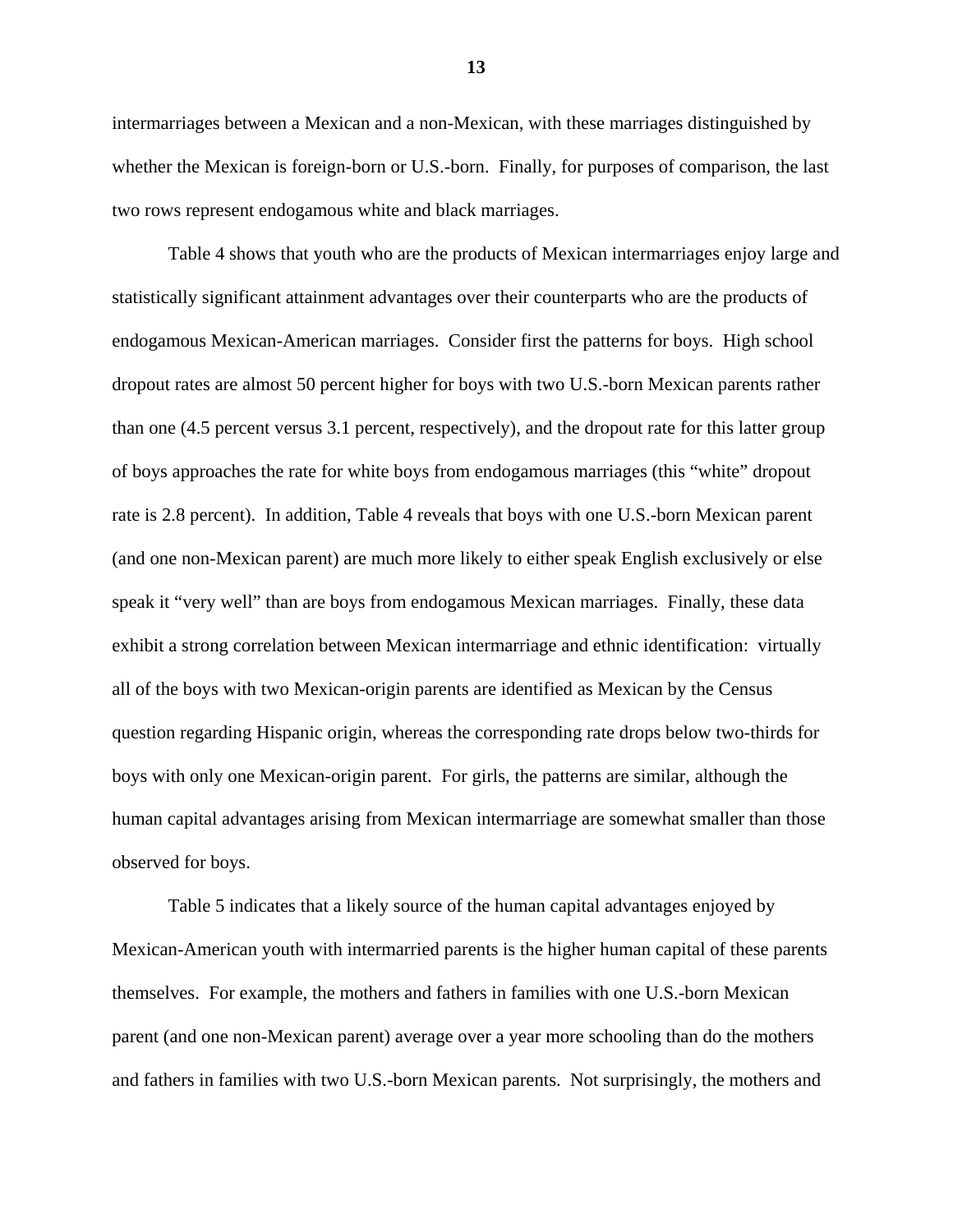intermarriages between a Mexican and a non-Mexican, with these marriages distinguished by whether the Mexican is foreign-born or U.S.-born. Finally, for purposes of comparison, the last two rows represent endogamous white and black marriages.

 Table 4 shows that youth who are the products of Mexican intermarriages enjoy large and statistically significant attainment advantages over their counterparts who are the products of endogamous Mexican-American marriages. Consider first the patterns for boys. High school dropout rates are almost 50 percent higher for boys with two U.S.-born Mexican parents rather than one (4.5 percent versus 3.1 percent, respectively), and the dropout rate for this latter group of boys approaches the rate for white boys from endogamous marriages (this "white" dropout rate is 2.8 percent). In addition, Table 4 reveals that boys with one U.S.-born Mexican parent (and one non-Mexican parent) are much more likely to either speak English exclusively or else speak it "very well" than are boys from endogamous Mexican marriages. Finally, these data exhibit a strong correlation between Mexican intermarriage and ethnic identification: virtually all of the boys with two Mexican-origin parents are identified as Mexican by the Census question regarding Hispanic origin, whereas the corresponding rate drops below two-thirds for boys with only one Mexican-origin parent. For girls, the patterns are similar, although the human capital advantages arising from Mexican intermarriage are somewhat smaller than those observed for boys.

 Table 5 indicates that a likely source of the human capital advantages enjoyed by Mexican-American youth with intermarried parents is the higher human capital of these parents themselves. For example, the mothers and fathers in families with one U.S.-born Mexican parent (and one non-Mexican parent) average over a year more schooling than do the mothers and fathers in families with two U.S.-born Mexican parents. Not surprisingly, the mothers and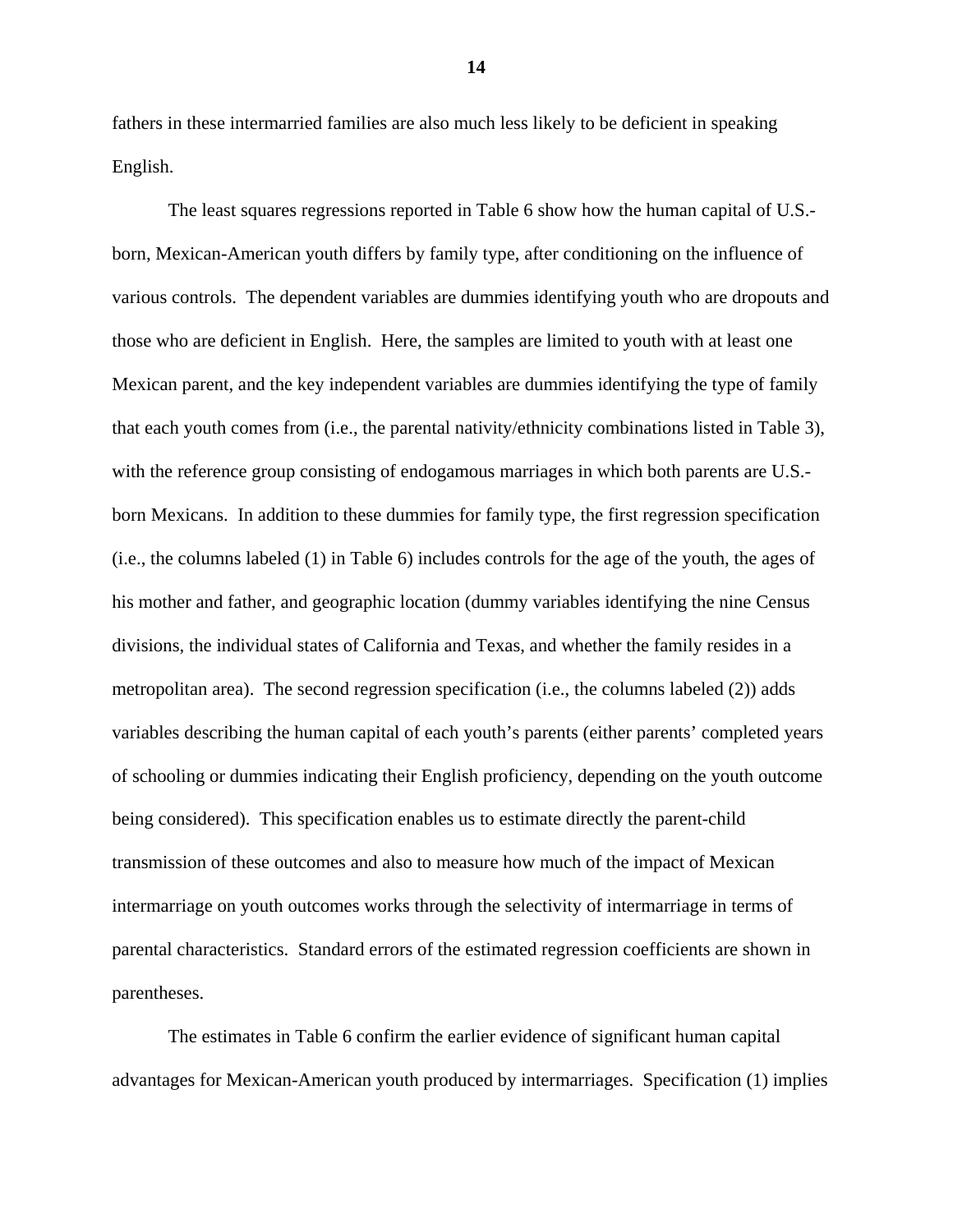fathers in these intermarried families are also much less likely to be deficient in speaking English.

 The least squares regressions reported in Table 6 show how the human capital of U.S. born, Mexican-American youth differs by family type, after conditioning on the influence of various controls. The dependent variables are dummies identifying youth who are dropouts and those who are deficient in English. Here, the samples are limited to youth with at least one Mexican parent, and the key independent variables are dummies identifying the type of family that each youth comes from (i.e., the parental nativity/ethnicity combinations listed in Table 3), with the reference group consisting of endogamous marriages in which both parents are U.S.born Mexicans. In addition to these dummies for family type, the first regression specification (i.e., the columns labeled (1) in Table 6) includes controls for the age of the youth, the ages of his mother and father, and geographic location (dummy variables identifying the nine Census divisions, the individual states of California and Texas, and whether the family resides in a metropolitan area). The second regression specification (i.e., the columns labeled (2)) adds variables describing the human capital of each youth's parents (either parents' completed years of schooling or dummies indicating their English proficiency, depending on the youth outcome being considered). This specification enables us to estimate directly the parent-child transmission of these outcomes and also to measure how much of the impact of Mexican intermarriage on youth outcomes works through the selectivity of intermarriage in terms of parental characteristics. Standard errors of the estimated regression coefficients are shown in parentheses.

 The estimates in Table 6 confirm the earlier evidence of significant human capital advantages for Mexican-American youth produced by intermarriages. Specification (1) implies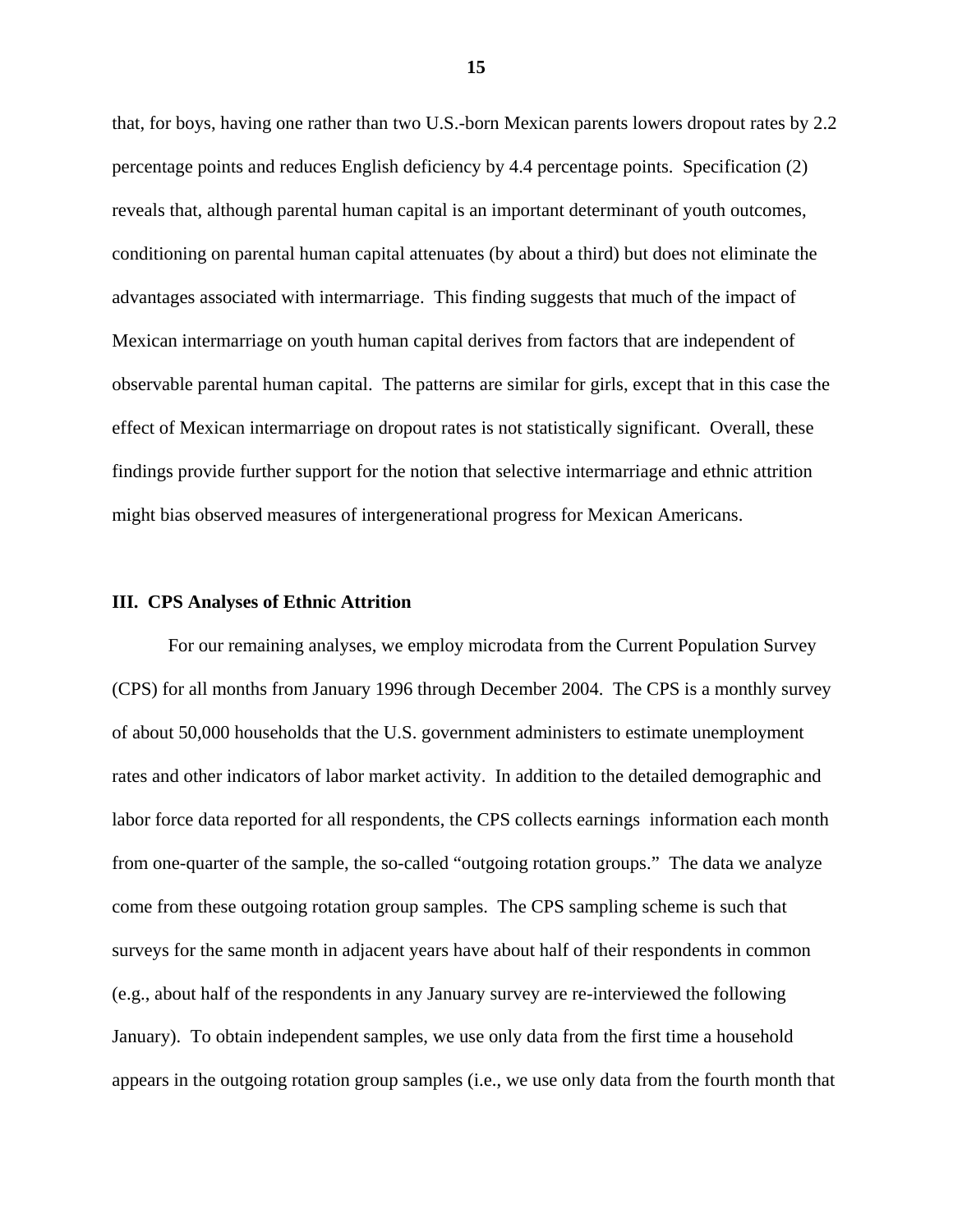that, for boys, having one rather than two U.S.-born Mexican parents lowers dropout rates by 2.2 percentage points and reduces English deficiency by 4.4 percentage points. Specification (2) reveals that, although parental human capital is an important determinant of youth outcomes, conditioning on parental human capital attenuates (by about a third) but does not eliminate the advantages associated with intermarriage. This finding suggests that much of the impact of Mexican intermarriage on youth human capital derives from factors that are independent of observable parental human capital. The patterns are similar for girls, except that in this case the effect of Mexican intermarriage on dropout rates is not statistically significant. Overall, these findings provide further support for the notion that selective intermarriage and ethnic attrition might bias observed measures of intergenerational progress for Mexican Americans.

### **III. CPS Analyses of Ethnic Attrition**

 For our remaining analyses, we employ microdata from the Current Population Survey (CPS) for all months from January 1996 through December 2004. The CPS is a monthly survey of about 50,000 households that the U.S. government administers to estimate unemployment rates and other indicators of labor market activity. In addition to the detailed demographic and labor force data reported for all respondents, the CPS collects earnings information each month from one-quarter of the sample, the so-called "outgoing rotation groups." The data we analyze come from these outgoing rotation group samples. The CPS sampling scheme is such that surveys for the same month in adjacent years have about half of their respondents in common (e.g., about half of the respondents in any January survey are re-interviewed the following January). To obtain independent samples, we use only data from the first time a household appears in the outgoing rotation group samples (i.e., we use only data from the fourth month that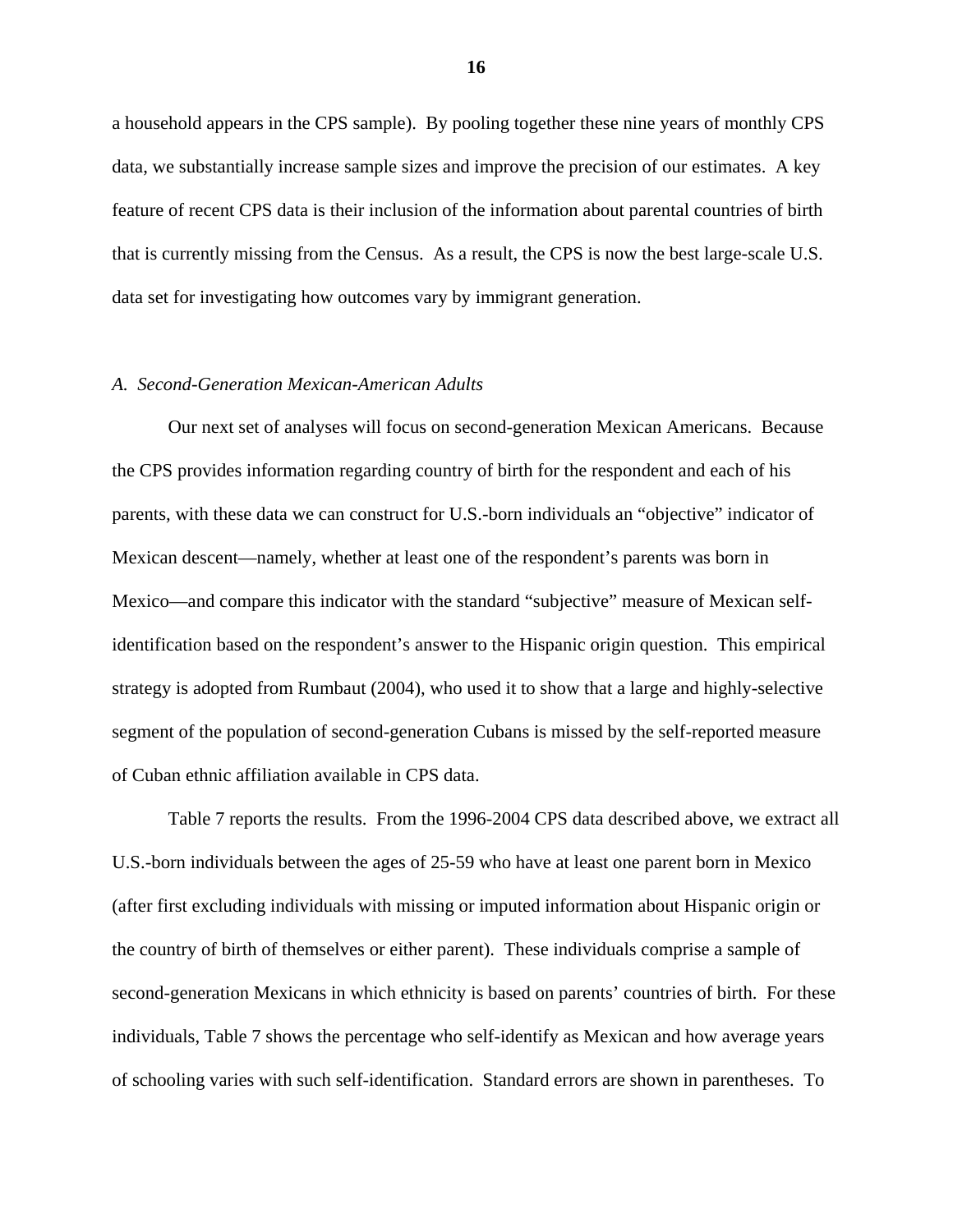a household appears in the CPS sample). By pooling together these nine years of monthly CPS data, we substantially increase sample sizes and improve the precision of our estimates. A key feature of recent CPS data is their inclusion of the information about parental countries of birth that is currently missing from the Census. As a result, the CPS is now the best large-scale U.S. data set for investigating how outcomes vary by immigrant generation.

### *A. Second-Generation Mexican-American Adults*

 Our next set of analyses will focus on second-generation Mexican Americans. Because the CPS provides information regarding country of birth for the respondent and each of his parents, with these data we can construct for U.S.-born individuals an "objective" indicator of Mexican descent—namely, whether at least one of the respondent's parents was born in Mexico—and compare this indicator with the standard "subjective" measure of Mexican selfidentification based on the respondent's answer to the Hispanic origin question. This empirical strategy is adopted from Rumbaut (2004), who used it to show that a large and highly-selective segment of the population of second-generation Cubans is missed by the self-reported measure of Cuban ethnic affiliation available in CPS data.

 Table 7 reports the results. From the 1996-2004 CPS data described above, we extract all U.S.-born individuals between the ages of 25-59 who have at least one parent born in Mexico (after first excluding individuals with missing or imputed information about Hispanic origin or the country of birth of themselves or either parent). These individuals comprise a sample of second-generation Mexicans in which ethnicity is based on parents' countries of birth. For these individuals, Table 7 shows the percentage who self-identify as Mexican and how average years of schooling varies with such self-identification. Standard errors are shown in parentheses. To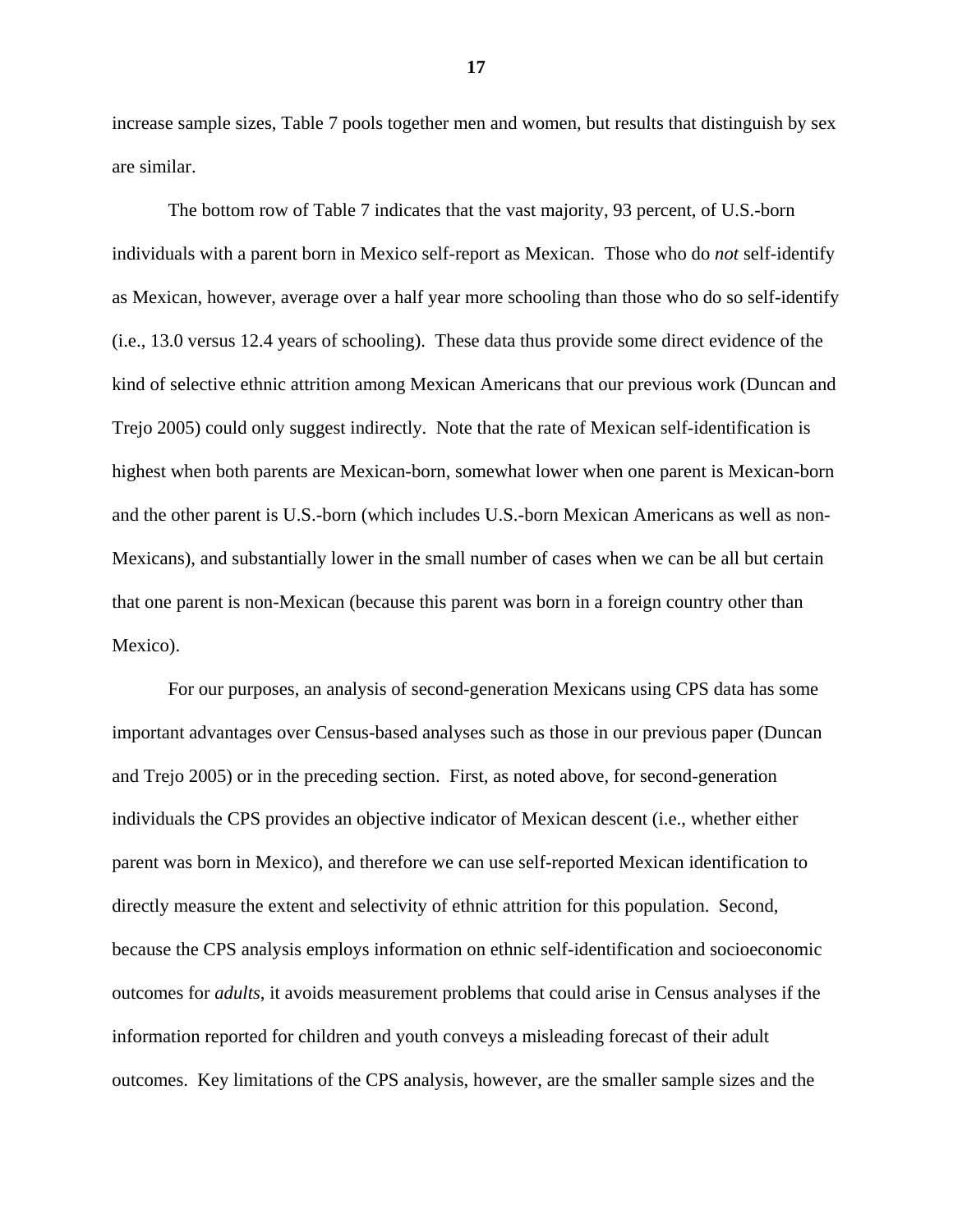increase sample sizes, Table 7 pools together men and women, but results that distinguish by sex are similar.

 The bottom row of Table 7 indicates that the vast majority, 93 percent, of U.S.-born individuals with a parent born in Mexico self-report as Mexican. Those who do *not* self-identify as Mexican, however, average over a half year more schooling than those who do so self-identify (i.e., 13.0 versus 12.4 years of schooling). These data thus provide some direct evidence of the kind of selective ethnic attrition among Mexican Americans that our previous work (Duncan and Trejo 2005) could only suggest indirectly. Note that the rate of Mexican self-identification is highest when both parents are Mexican-born, somewhat lower when one parent is Mexican-born and the other parent is U.S.-born (which includes U.S.-born Mexican Americans as well as non-Mexicans), and substantially lower in the small number of cases when we can be all but certain that one parent is non-Mexican (because this parent was born in a foreign country other than Mexico).

 For our purposes, an analysis of second-generation Mexicans using CPS data has some important advantages over Census-based analyses such as those in our previous paper (Duncan and Trejo 2005) or in the preceding section. First, as noted above, for second-generation individuals the CPS provides an objective indicator of Mexican descent (i.e., whether either parent was born in Mexico), and therefore we can use self-reported Mexican identification to directly measure the extent and selectivity of ethnic attrition for this population. Second, because the CPS analysis employs information on ethnic self-identification and socioeconomic outcomes for *adults*, it avoids measurement problems that could arise in Census analyses if the information reported for children and youth conveys a misleading forecast of their adult outcomes. Key limitations of the CPS analysis, however, are the smaller sample sizes and the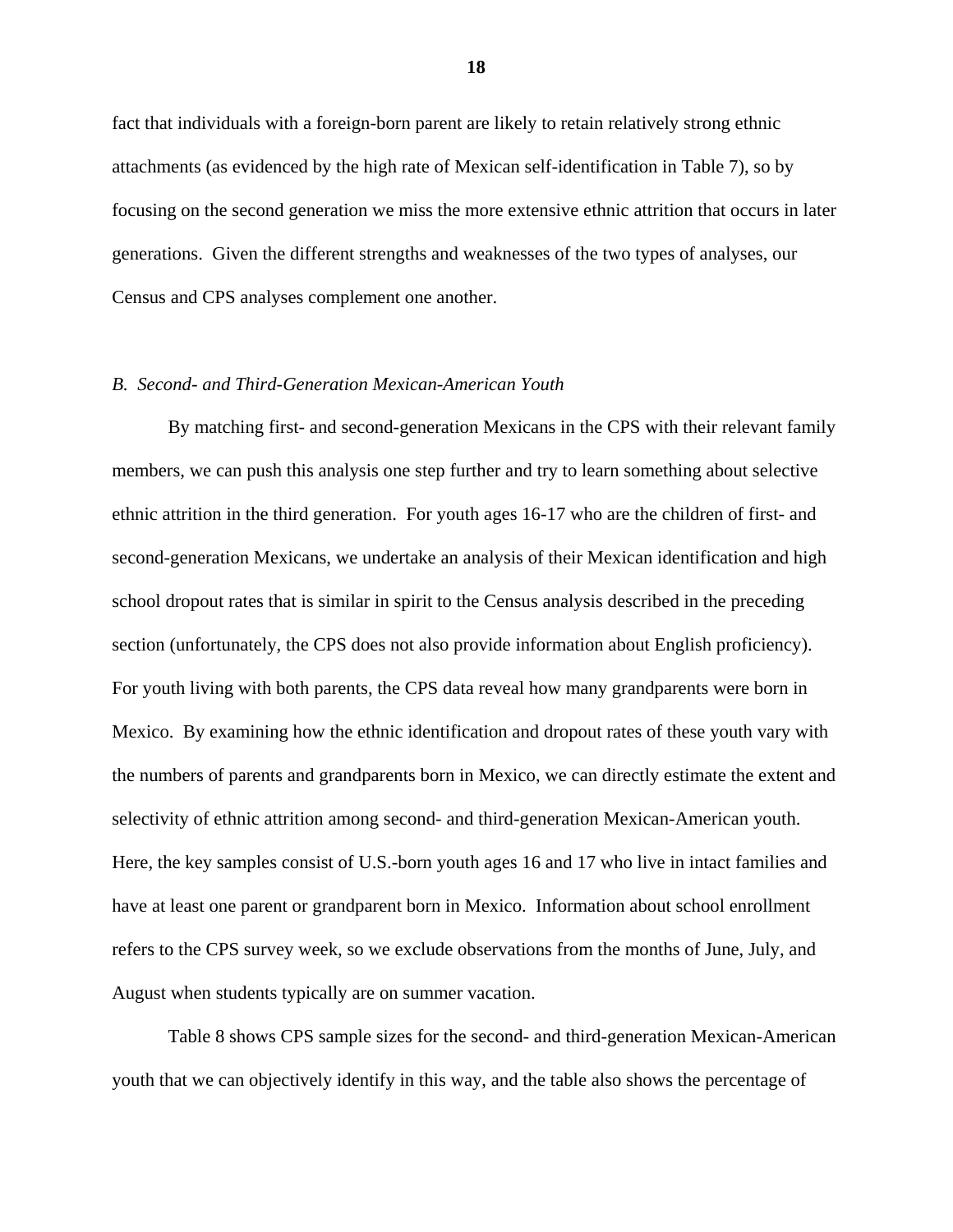fact that individuals with a foreign-born parent are likely to retain relatively strong ethnic attachments (as evidenced by the high rate of Mexican self-identification in Table 7), so by focusing on the second generation we miss the more extensive ethnic attrition that occurs in later generations. Given the different strengths and weaknesses of the two types of analyses, our Census and CPS analyses complement one another.

### *B. Second- and Third-Generation Mexican-American Youth*

 By matching first- and second-generation Mexicans in the CPS with their relevant family members, we can push this analysis one step further and try to learn something about selective ethnic attrition in the third generation. For youth ages 16-17 who are the children of first- and second-generation Mexicans, we undertake an analysis of their Mexican identification and high school dropout rates that is similar in spirit to the Census analysis described in the preceding section (unfortunately, the CPS does not also provide information about English proficiency). For youth living with both parents, the CPS data reveal how many grandparents were born in Mexico. By examining how the ethnic identification and dropout rates of these youth vary with the numbers of parents and grandparents born in Mexico, we can directly estimate the extent and selectivity of ethnic attrition among second- and third-generation Mexican-American youth. Here, the key samples consist of U.S.-born youth ages 16 and 17 who live in intact families and have at least one parent or grandparent born in Mexico. Information about school enrollment refers to the CPS survey week, so we exclude observations from the months of June, July, and August when students typically are on summer vacation.

 Table 8 shows CPS sample sizes for the second- and third-generation Mexican-American youth that we can objectively identify in this way, and the table also shows the percentage of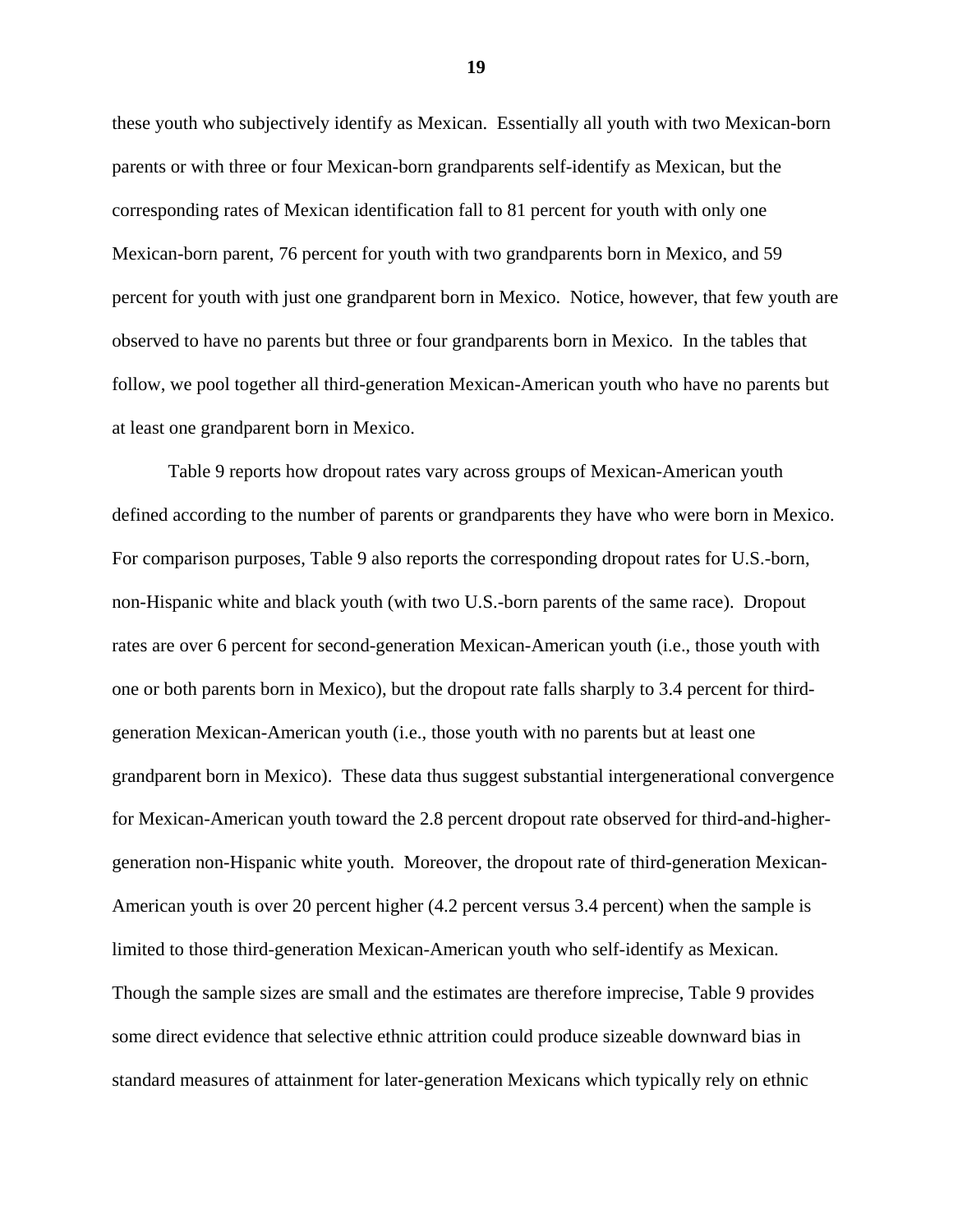these youth who subjectively identify as Mexican. Essentially all youth with two Mexican-born parents or with three or four Mexican-born grandparents self-identify as Mexican, but the corresponding rates of Mexican identification fall to 81 percent for youth with only one Mexican-born parent, 76 percent for youth with two grandparents born in Mexico, and 59 percent for youth with just one grandparent born in Mexico. Notice, however, that few youth are observed to have no parents but three or four grandparents born in Mexico. In the tables that follow, we pool together all third-generation Mexican-American youth who have no parents but at least one grandparent born in Mexico.

 Table 9 reports how dropout rates vary across groups of Mexican-American youth defined according to the number of parents or grandparents they have who were born in Mexico. For comparison purposes, Table 9 also reports the corresponding dropout rates for U.S.-born, non-Hispanic white and black youth (with two U.S.-born parents of the same race). Dropout rates are over 6 percent for second-generation Mexican-American youth (i.e., those youth with one or both parents born in Mexico), but the dropout rate falls sharply to 3.4 percent for thirdgeneration Mexican-American youth (i.e., those youth with no parents but at least one grandparent born in Mexico). These data thus suggest substantial intergenerational convergence for Mexican-American youth toward the 2.8 percent dropout rate observed for third-and-highergeneration non-Hispanic white youth. Moreover, the dropout rate of third-generation Mexican-American youth is over 20 percent higher (4.2 percent versus 3.4 percent) when the sample is limited to those third-generation Mexican-American youth who self-identify as Mexican. Though the sample sizes are small and the estimates are therefore imprecise, Table 9 provides some direct evidence that selective ethnic attrition could produce sizeable downward bias in standard measures of attainment for later-generation Mexicans which typically rely on ethnic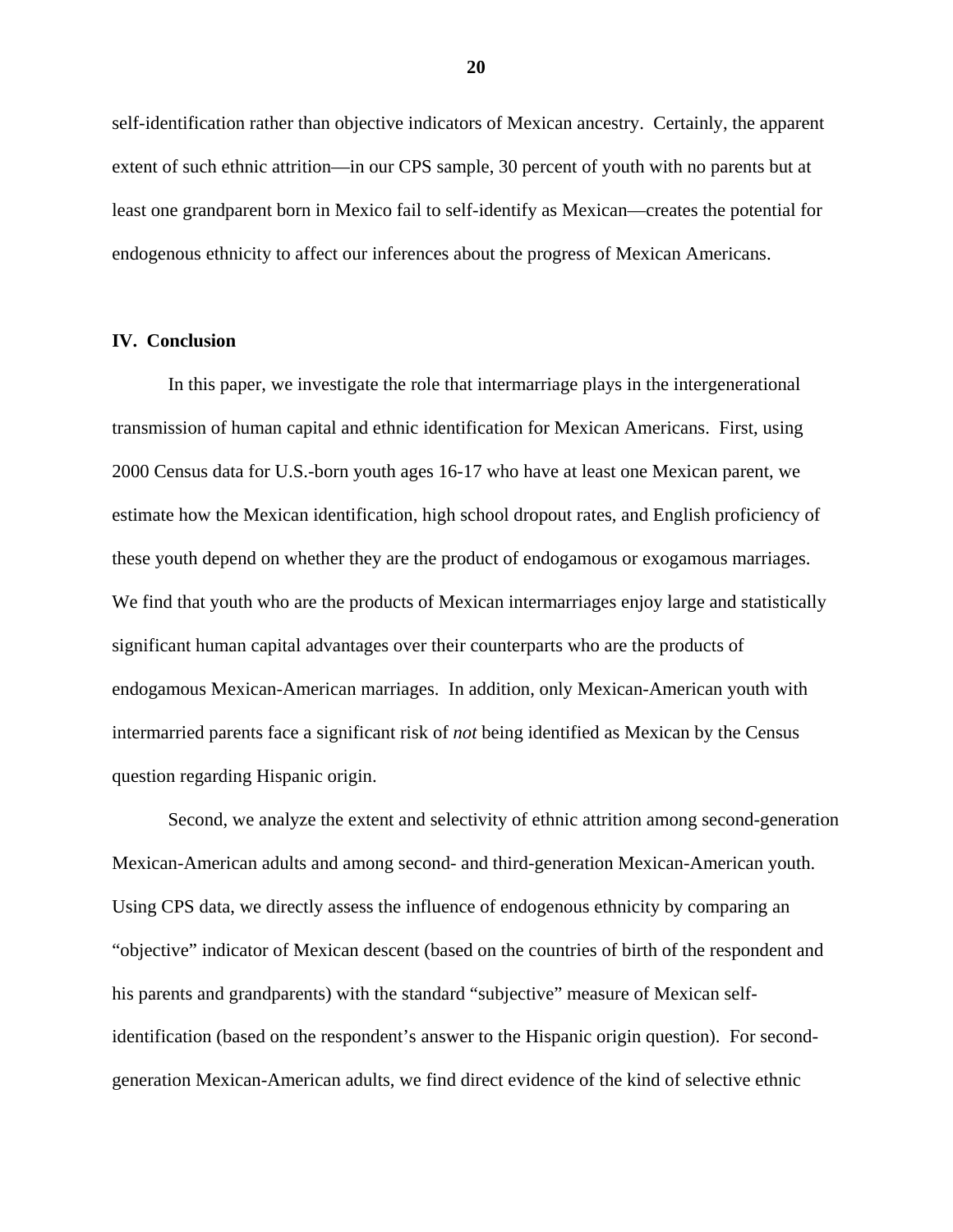self-identification rather than objective indicators of Mexican ancestry. Certainly, the apparent extent of such ethnic attrition—in our CPS sample, 30 percent of youth with no parents but at least one grandparent born in Mexico fail to self-identify as Mexican—creates the potential for endogenous ethnicity to affect our inferences about the progress of Mexican Americans.

### **IV. Conclusion**

 In this paper, we investigate the role that intermarriage plays in the intergenerational transmission of human capital and ethnic identification for Mexican Americans. First, using 2000 Census data for U.S.-born youth ages 16-17 who have at least one Mexican parent, we estimate how the Mexican identification, high school dropout rates, and English proficiency of these youth depend on whether they are the product of endogamous or exogamous marriages. We find that youth who are the products of Mexican intermarriages enjoy large and statistically significant human capital advantages over their counterparts who are the products of endogamous Mexican-American marriages. In addition, only Mexican-American youth with intermarried parents face a significant risk of *not* being identified as Mexican by the Census question regarding Hispanic origin.

 Second, we analyze the extent and selectivity of ethnic attrition among second-generation Mexican-American adults and among second- and third-generation Mexican-American youth. Using CPS data, we directly assess the influence of endogenous ethnicity by comparing an "objective" indicator of Mexican descent (based on the countries of birth of the respondent and his parents and grandparents) with the standard "subjective" measure of Mexican selfidentification (based on the respondent's answer to the Hispanic origin question). For secondgeneration Mexican-American adults, we find direct evidence of the kind of selective ethnic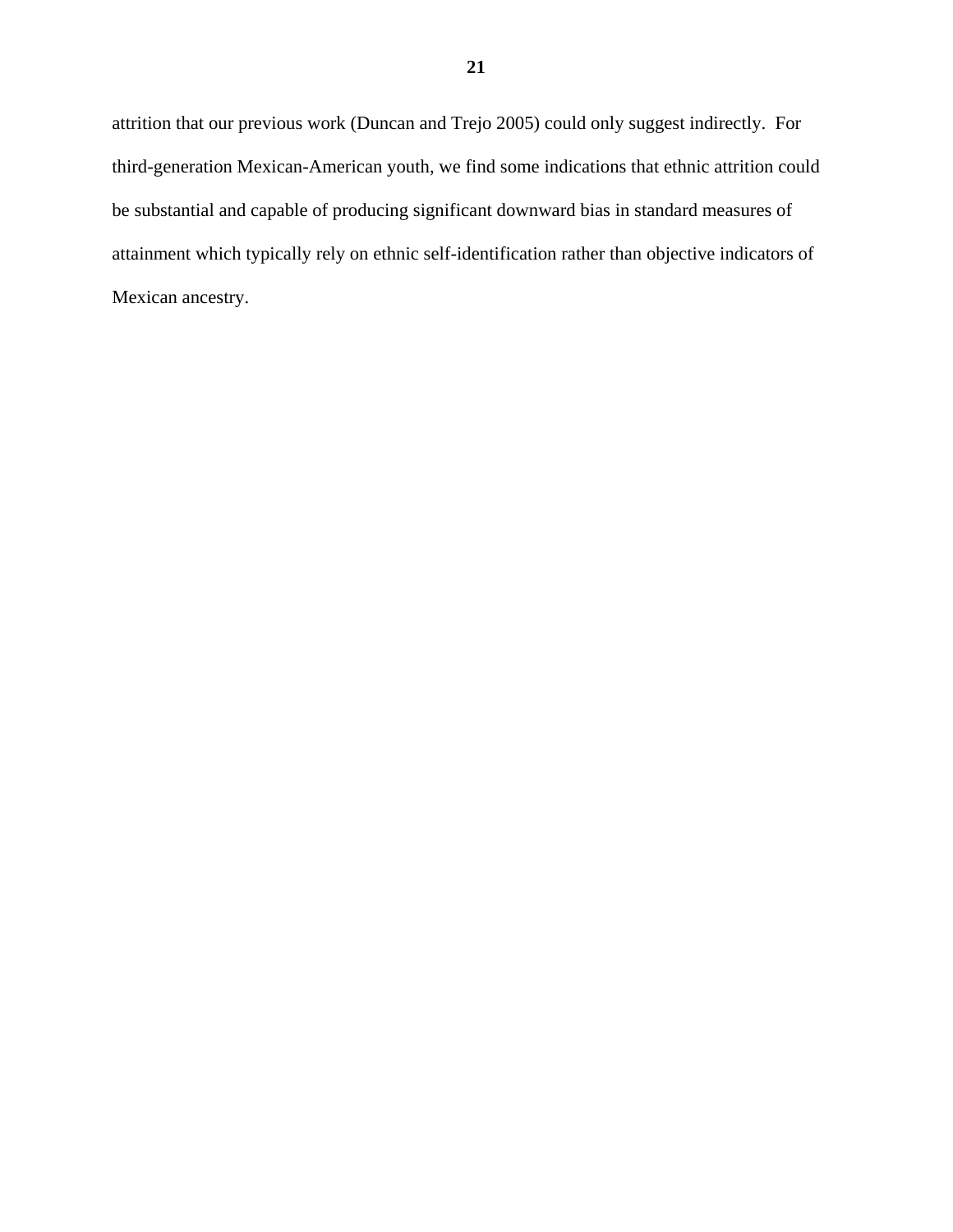attrition that our previous work (Duncan and Trejo 2005) could only suggest indirectly. For third-generation Mexican-American youth, we find some indications that ethnic attrition could be substantial and capable of producing significant downward bias in standard measures of attainment which typically rely on ethnic self-identification rather than objective indicators of Mexican ancestry.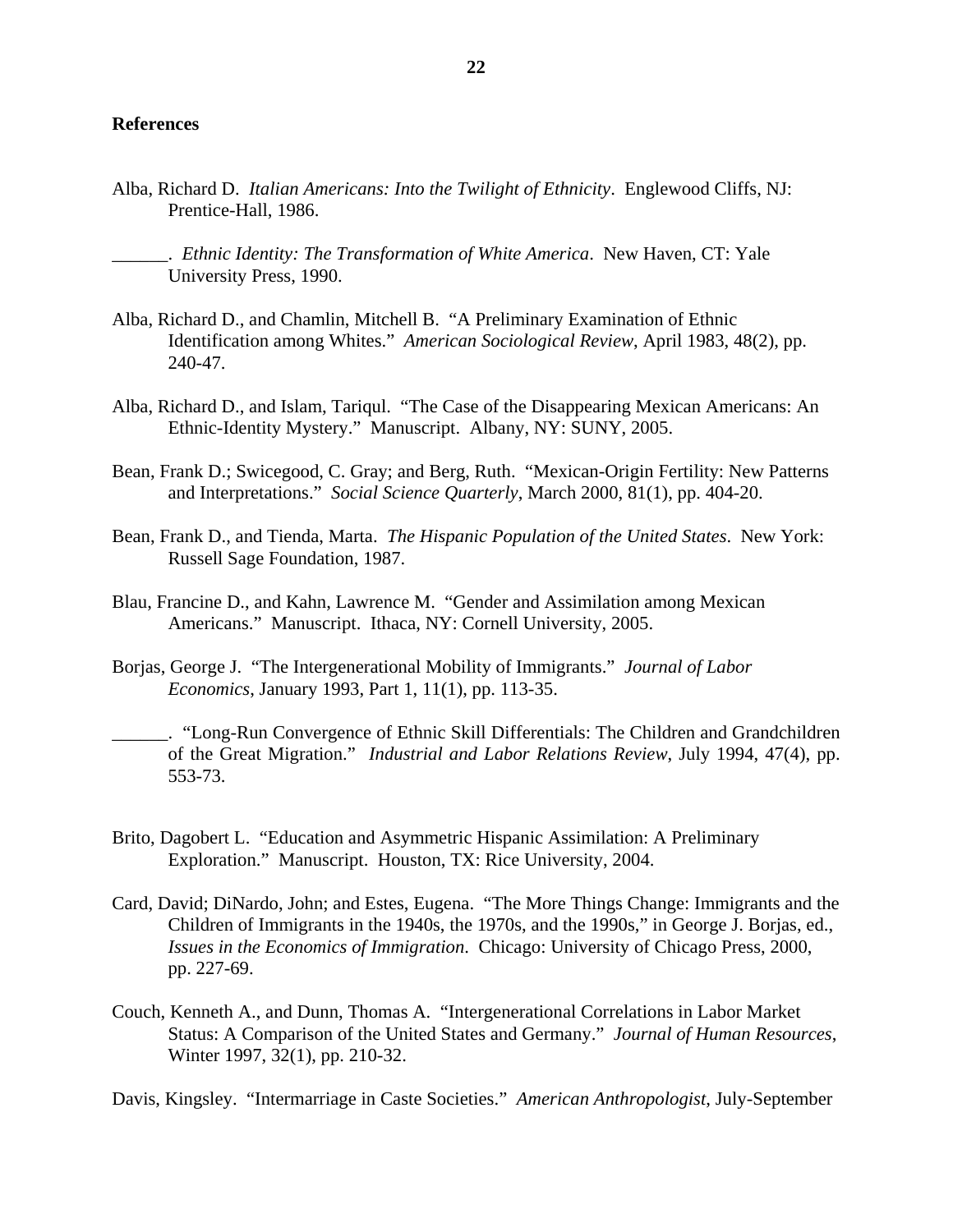### **References**

- Alba, Richard D. *Italian Americans: Into the Twilight of Ethnicity*. Englewood Cliffs, NJ: Prentice-Hall, 1986.
	- \_\_\_\_\_\_. *Ethnic Identity: The Transformation of White America*. New Haven, CT: Yale University Press, 1990.
- Alba, Richard D., and Chamlin, Mitchell B. "A Preliminary Examination of Ethnic Identification among Whites." *American Sociological Review*, April 1983, 48(2), pp. 240-47.
- Alba, Richard D., and Islam, Tariqul. "The Case of the Disappearing Mexican Americans: An Ethnic-Identity Mystery." Manuscript. Albany, NY: SUNY, 2005.
- Bean, Frank D.; Swicegood, C. Gray; and Berg, Ruth. "Mexican-Origin Fertility: New Patterns and Interpretations." *Social Science Quarterly*, March 2000, 81(1), pp. 404-20.
- Bean, Frank D., and Tienda, Marta. *The Hispanic Population of the United States*. New York: Russell Sage Foundation, 1987.
- Blau, Francine D., and Kahn, Lawrence M. "Gender and Assimilation among Mexican Americans." Manuscript. Ithaca, NY: Cornell University, 2005.
- Borjas, George J. "The Intergenerational Mobility of Immigrants." *Journal of Labor Economics*, January 1993, Part 1, 11(1), pp. 113-35.

\_\_\_\_\_\_. "Long-Run Convergence of Ethnic Skill Differentials: The Children and Grandchildren of the Great Migration." *Industrial and Labor Relations Review*, July 1994, 47(4), pp. 553-73.

- Brito, Dagobert L. "Education and Asymmetric Hispanic Assimilation: A Preliminary Exploration." Manuscript. Houston, TX: Rice University, 2004.
- Card, David; DiNardo, John; and Estes, Eugena. "The More Things Change: Immigrants and the Children of Immigrants in the 1940s, the 1970s, and the 1990s," in George J. Borjas, ed., *Issues in the Economics of Immigration*. Chicago: University of Chicago Press, 2000, pp. 227-69.
- Couch, Kenneth A., and Dunn, Thomas A. "Intergenerational Correlations in Labor Market Status: A Comparison of the United States and Germany." *Journal of Human Resources*, Winter 1997, 32(1), pp. 210-32.

Davis, Kingsley. "Intermarriage in Caste Societies." *American Anthropologist*, July-September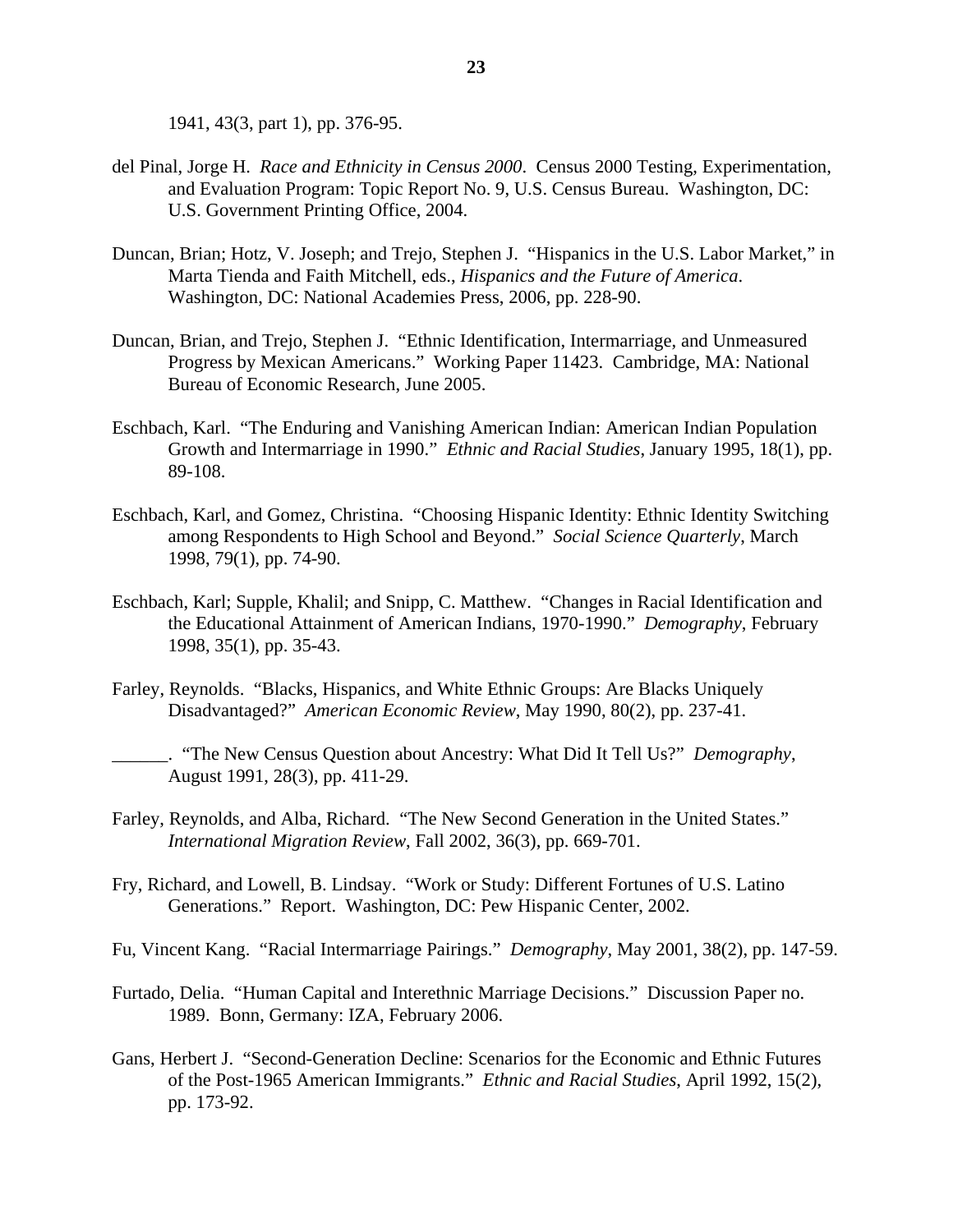1941, 43(3, part 1), pp. 376-95.

- del Pinal, Jorge H. *Race and Ethnicity in Census 2000*. Census 2000 Testing, Experimentation, and Evaluation Program: Topic Report No. 9, U.S. Census Bureau. Washington, DC: U.S. Government Printing Office, 2004.
- Duncan, Brian; Hotz, V. Joseph; and Trejo, Stephen J. "Hispanics in the U.S. Labor Market," in Marta Tienda and Faith Mitchell, eds., *Hispanics and the Future of America*. Washington, DC: National Academies Press, 2006, pp. 228-90.
- Duncan, Brian, and Trejo, Stephen J. "Ethnic Identification, Intermarriage, and Unmeasured Progress by Mexican Americans." Working Paper 11423. Cambridge, MA: National Bureau of Economic Research, June 2005.
- Eschbach, Karl. "The Enduring and Vanishing American Indian: American Indian Population Growth and Intermarriage in 1990." *Ethnic and Racial Studies*, January 1995, 18(1), pp. 89-108.
- Eschbach, Karl, and Gomez, Christina. "Choosing Hispanic Identity: Ethnic Identity Switching among Respondents to High School and Beyond." *Social Science Quarterly*, March 1998, 79(1), pp. 74-90.
- Eschbach, Karl; Supple, Khalil; and Snipp, C. Matthew. "Changes in Racial Identification and the Educational Attainment of American Indians, 1970-1990." *Demography*, February 1998, 35(1), pp. 35-43.
- Farley, Reynolds. "Blacks, Hispanics, and White Ethnic Groups: Are Blacks Uniquely Disadvantaged?" *American Economic Review*, May 1990, 80(2), pp. 237-41.

\_\_\_\_\_\_. "The New Census Question about Ancestry: What Did It Tell Us?" *Demography*, August 1991, 28(3), pp. 411-29.

- Farley, Reynolds, and Alba, Richard. "The New Second Generation in the United States." *International Migration Review*, Fall 2002, 36(3), pp. 669-701.
- Fry, Richard, and Lowell, B. Lindsay. "Work or Study: Different Fortunes of U.S. Latino Generations." Report. Washington, DC: Pew Hispanic Center, 2002.
- Fu, Vincent Kang. "Racial Intermarriage Pairings." *Demography*, May 2001, 38(2), pp. 147-59.
- Furtado, Delia. "Human Capital and Interethnic Marriage Decisions." Discussion Paper no. 1989. Bonn, Germany: IZA, February 2006.
- Gans, Herbert J. "Second-Generation Decline: Scenarios for the Economic and Ethnic Futures of the Post-1965 American Immigrants." *Ethnic and Racial Studies*, April 1992, 15(2), pp. 173-92.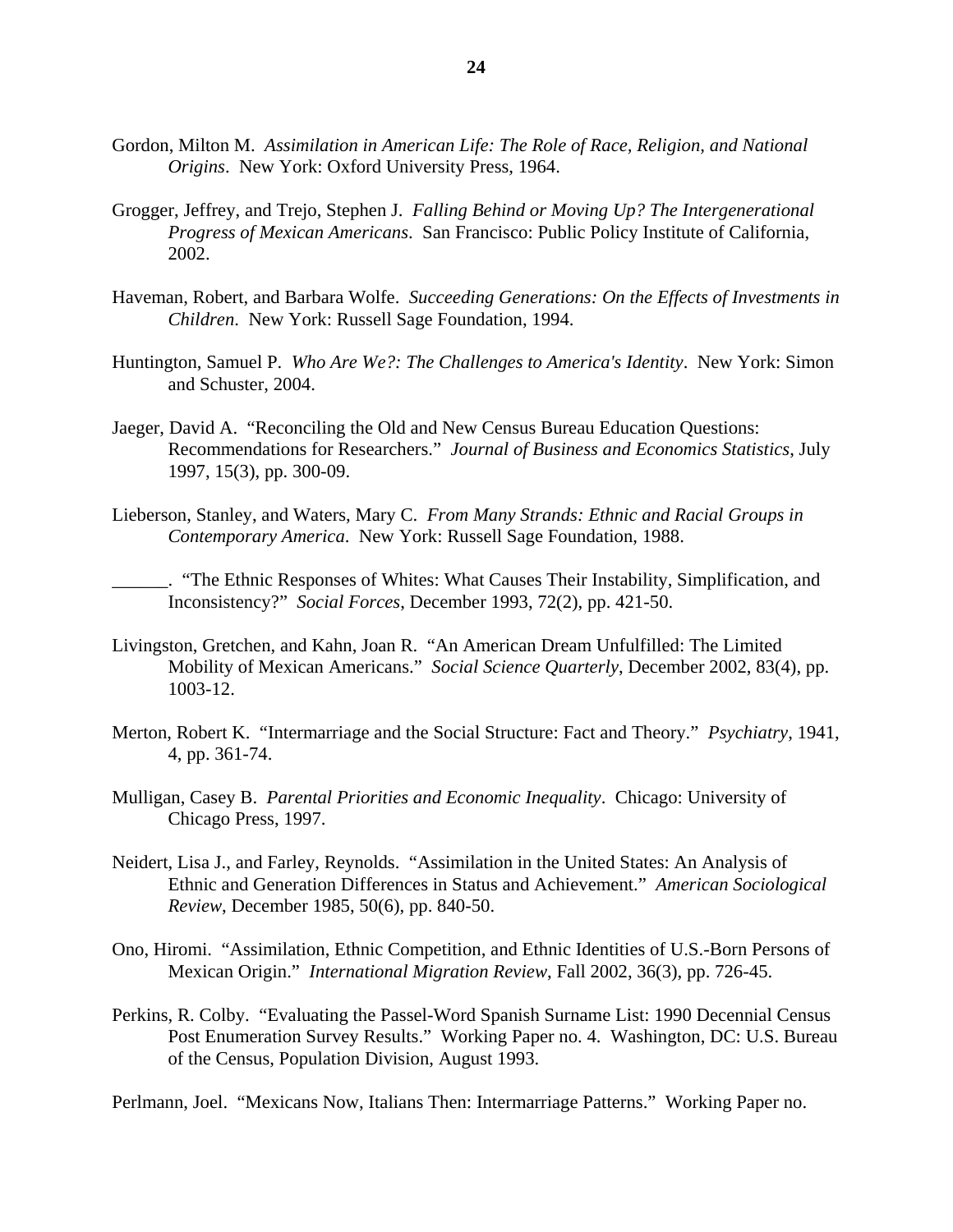- Gordon, Milton M. *Assimilation in American Life: The Role of Race, Religion, and National Origins*. New York: Oxford University Press, 1964.
- Grogger, Jeffrey, and Trejo, Stephen J. *Falling Behind or Moving Up? The Intergenerational Progress of Mexican Americans*. San Francisco: Public Policy Institute of California, 2002.
- Haveman, Robert, and Barbara Wolfe. *Succeeding Generations: On the Effects of Investments in Children*. New York: Russell Sage Foundation, 1994.
- Huntington, Samuel P. *Who Are We?: The Challenges to America's Identity*. New York: Simon and Schuster, 2004.
- Jaeger, David A. "Reconciling the Old and New Census Bureau Education Questions: Recommendations for Researchers." *Journal of Business and Economics Statistics*, July 1997, 15(3), pp. 300-09.
- Lieberson, Stanley, and Waters, Mary C. *From Many Strands: Ethnic and Racial Groups in Contemporary America*. New York: Russell Sage Foundation, 1988.

\_\_\_\_\_\_. "The Ethnic Responses of Whites: What Causes Their Instability, Simplification, and Inconsistency?" *Social Forces*, December 1993, 72(2), pp. 421-50.

- Livingston, Gretchen, and Kahn, Joan R. "An American Dream Unfulfilled: The Limited Mobility of Mexican Americans." *Social Science Quarterly*, December 2002, 83(4), pp. 1003-12.
- Merton, Robert K. "Intermarriage and the Social Structure: Fact and Theory." *Psychiatry*, 1941, 4, pp. 361-74.
- Mulligan, Casey B. *Parental Priorities and Economic Inequality*. Chicago: University of Chicago Press, 1997.
- Neidert, Lisa J., and Farley, Reynolds. "Assimilation in the United States: An Analysis of Ethnic and Generation Differences in Status and Achievement." *American Sociological Review*, December 1985, 50(6), pp. 840-50.
- Ono, Hiromi. "Assimilation, Ethnic Competition, and Ethnic Identities of U.S.-Born Persons of Mexican Origin." *International Migration Review*, Fall 2002, 36(3), pp. 726-45.
- Perkins, R. Colby. "Evaluating the Passel-Word Spanish Surname List: 1990 Decennial Census Post Enumeration Survey Results." Working Paper no. 4. Washington, DC: U.S. Bureau of the Census, Population Division, August 1993.

Perlmann, Joel. "Mexicans Now, Italians Then: Intermarriage Patterns." Working Paper no.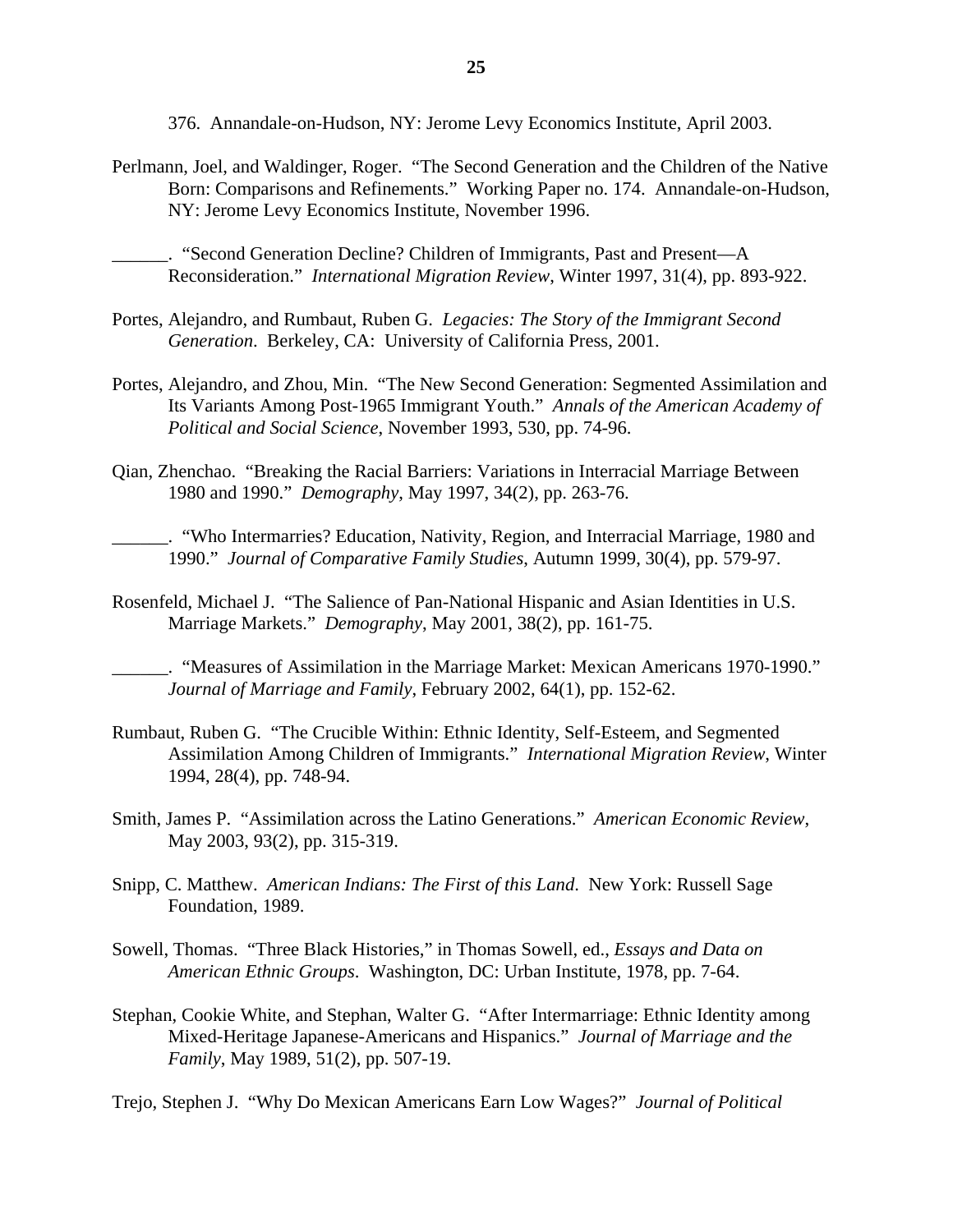376. Annandale-on-Hudson, NY: Jerome Levy Economics Institute, April 2003.

Perlmann, Joel, and Waldinger, Roger. "The Second Generation and the Children of the Native Born: Comparisons and Refinements." Working Paper no. 174. Annandale-on-Hudson, NY: Jerome Levy Economics Institute, November 1996.

\_\_\_\_\_\_. "Second Generation Decline? Children of Immigrants, Past and Present—A Reconsideration." *International Migration Review*, Winter 1997, 31(4), pp. 893-922.

- Portes, Alejandro, and Rumbaut, Ruben G. *Legacies: The Story of the Immigrant Second Generation*. Berkeley, CA: University of California Press, 2001.
- Portes, Alejandro, and Zhou, Min. "The New Second Generation: Segmented Assimilation and Its Variants Among Post-1965 Immigrant Youth." *Annals of the American Academy of Political and Social Science*, November 1993, 530, pp. 74-96.
- Qian, Zhenchao. "Breaking the Racial Barriers: Variations in Interracial Marriage Between 1980 and 1990." *Demography*, May 1997, 34(2), pp. 263-76.

\_\_\_\_\_\_. "Who Intermarries? Education, Nativity, Region, and Interracial Marriage, 1980 and 1990." *Journal of Comparative Family Studies*, Autumn 1999, 30(4), pp. 579-97.

Rosenfeld, Michael J. "The Salience of Pan-National Hispanic and Asian Identities in U.S. Marriage Markets." *Demography*, May 2001, 38(2), pp. 161-75.

\_\_\_\_\_\_. "Measures of Assimilation in the Marriage Market: Mexican Americans 1970-1990." *Journal of Marriage and Family*, February 2002, 64(1), pp. 152-62.

- Rumbaut, Ruben G. "The Crucible Within: Ethnic Identity, Self-Esteem, and Segmented Assimilation Among Children of Immigrants." *International Migration Review*, Winter 1994, 28(4), pp. 748-94.
- Smith, James P. "Assimilation across the Latino Generations." *American Economic Review*, May 2003, 93(2), pp. 315-319.
- Snipp, C. Matthew. *American Indians: The First of this Land*. New York: Russell Sage Foundation, 1989.
- Sowell, Thomas. "Three Black Histories," in Thomas Sowell, ed., *Essays and Data on American Ethnic Groups*. Washington, DC: Urban Institute, 1978, pp. 7-64.
- Stephan, Cookie White, and Stephan, Walter G. "After Intermarriage: Ethnic Identity among Mixed-Heritage Japanese-Americans and Hispanics." *Journal of Marriage and the Family*, May 1989, 51(2), pp. 507-19.

Trejo, Stephen J. "Why Do Mexican Americans Earn Low Wages?" *Journal of Political*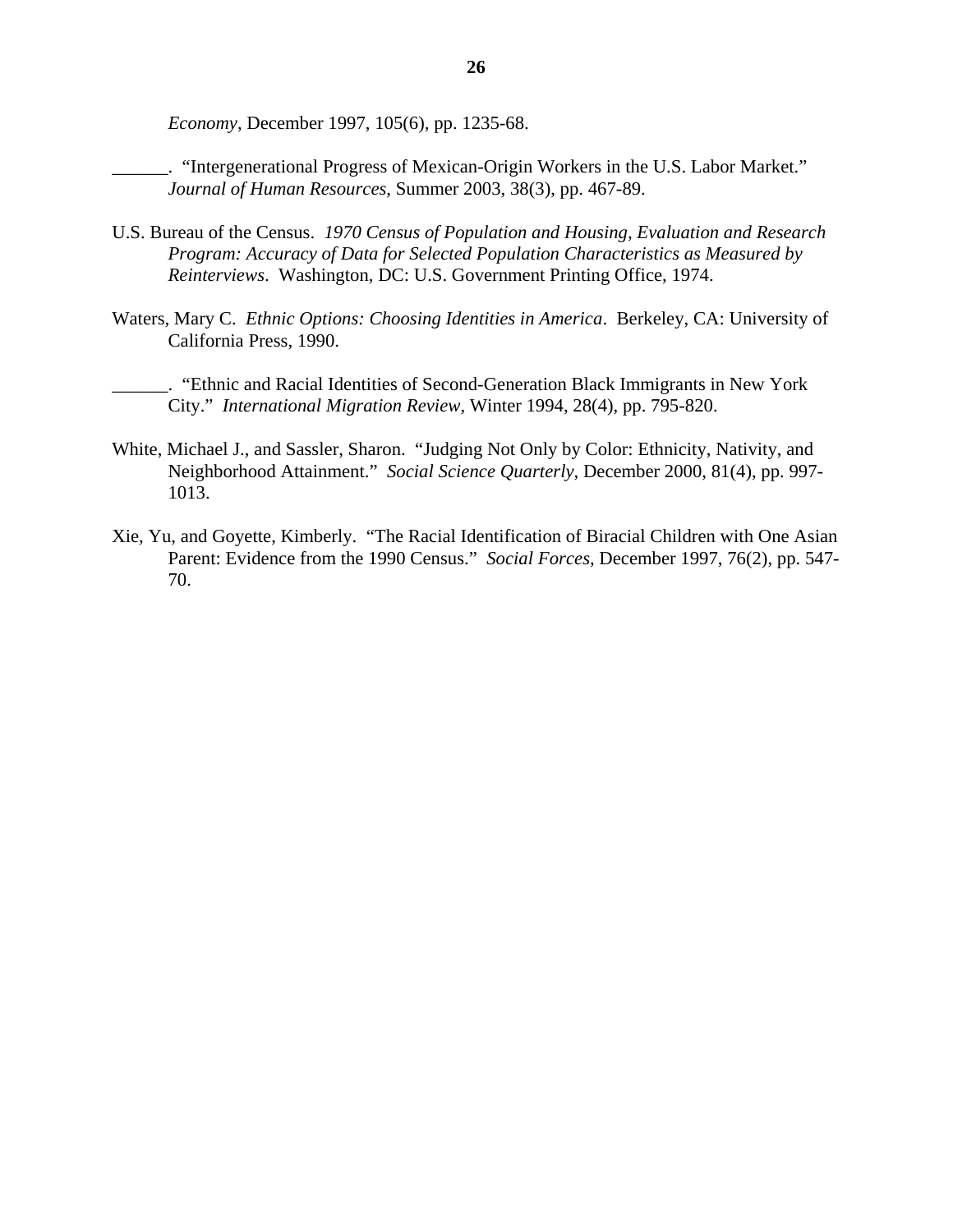*Economy*, December 1997, 105(6), pp. 1235-68.

\_\_\_\_\_\_. "Intergenerational Progress of Mexican-Origin Workers in the U.S. Labor Market." *Journal of Human Resources*, Summer 2003, 38(3), pp. 467-89.

- U.S. Bureau of the Census. *1970 Census of Population and Housing, Evaluation and Research Program: Accuracy of Data for Selected Population Characteristics as Measured by Reinterviews*. Washington, DC: U.S. Government Printing Office, 1974.
- Waters, Mary C. *Ethnic Options: Choosing Identities in America*. Berkeley, CA: University of California Press, 1990.

\_\_\_\_\_\_. "Ethnic and Racial Identities of Second-Generation Black Immigrants in New York City." *International Migration Review*, Winter 1994, 28(4), pp. 795-820.

- White, Michael J., and Sassler, Sharon. "Judging Not Only by Color: Ethnicity, Nativity, and Neighborhood Attainment." *Social Science Quarterly*, December 2000, 81(4), pp. 997- 1013.
- Xie, Yu, and Goyette, Kimberly. "The Racial Identification of Biracial Children with One Asian Parent: Evidence from the 1990 Census." *Social Forces*, December 1997, 76(2), pp. 547- 70.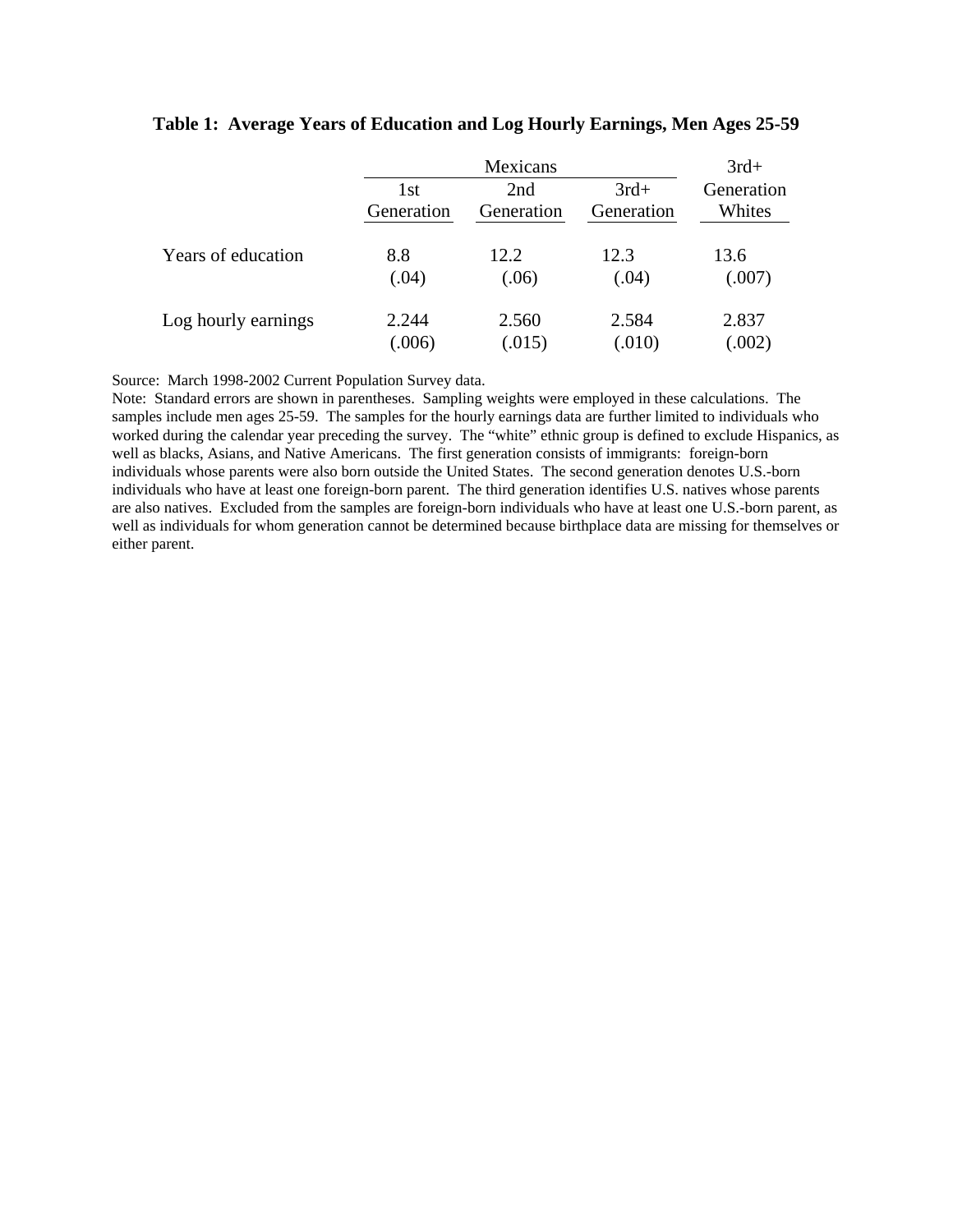|                     |            | Mexicans   |            |            |  |  |
|---------------------|------------|------------|------------|------------|--|--|
|                     | 1st        | 2nd        | $3rd+$     | Generation |  |  |
|                     | Generation | Generation | Generation | Whites     |  |  |
| Years of education  | 8.8        | 12.2       | 12.3       | 13.6       |  |  |
|                     | (.04)      | (.06)      | (.04)      | (.007)     |  |  |
| Log hourly earnings | 2.244      | 2.560      | 2.584      | 2.837      |  |  |
|                     | 006        | (.015)     | (.010)     | (.002)     |  |  |

### **Table 1: Average Years of Education and Log Hourly Earnings, Men Ages 25-59**

Source: March 1998-2002 Current Population Survey data.

Note: Standard errors are shown in parentheses. Sampling weights were employed in these calculations. The samples include men ages 25-59. The samples for the hourly earnings data are further limited to individuals who worked during the calendar year preceding the survey. The "white" ethnic group is defined to exclude Hispanics, as well as blacks, Asians, and Native Americans. The first generation consists of immigrants: foreign-born individuals whose parents were also born outside the United States. The second generation denotes U.S.-born individuals who have at least one foreign-born parent. The third generation identifies U.S. natives whose parents are also natives. Excluded from the samples are foreign-born individuals who have at least one U.S.-born parent, as well as individuals for whom generation cannot be determined because birthplace data are missing for themselves or either parent.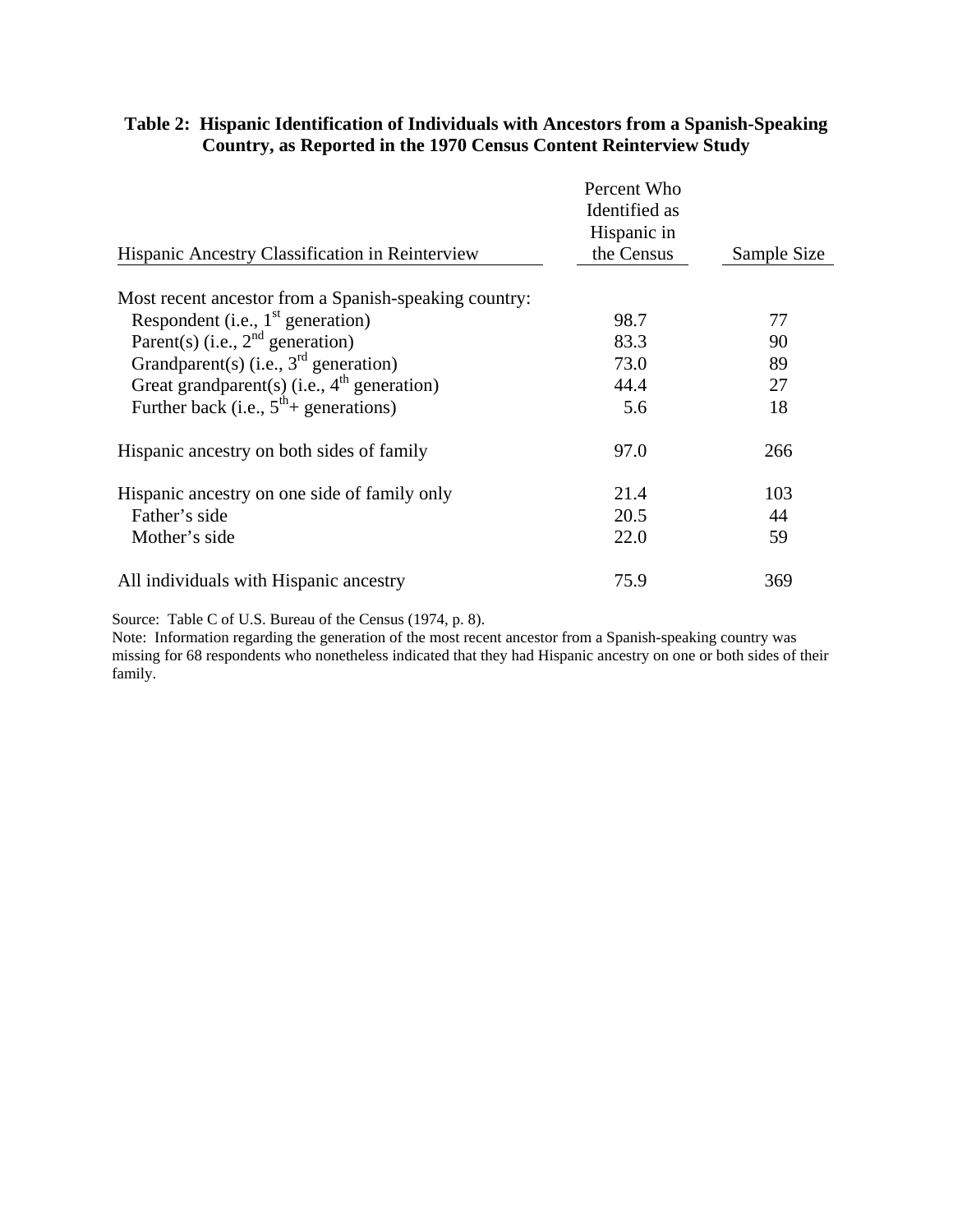| Hispanic Ancestry Classification in Reinterview       | Percent Who<br>Identified as<br>Hispanic in<br>the Census | Sample Size |
|-------------------------------------------------------|-----------------------------------------------------------|-------------|
|                                                       |                                                           |             |
| Most recent ancestor from a Spanish-speaking country: |                                                           |             |
| Respondent (i.e., $1st$ generation)                   | 98.7                                                      | 77          |
| Parent(s) (i.e., $2^{nd}$ generation)                 | 83.3                                                      | 90          |
| Grandparent(s) (i.e., $3rd$ generation)               | 73.0                                                      | 89          |
| Great grandparent(s) (i.e., $4th$ generation)         | 44.4                                                      | 27          |
| Further back (i.e., $5^{th}$ + generations)           | 5.6                                                       | 18          |
| Hispanic ancestry on both sides of family             | 97.0                                                      | 266         |
| Hispanic ancestry on one side of family only          | 21.4                                                      | 103         |
| Father's side                                         | 20.5                                                      | 44          |
| Mother's side                                         | 22.0                                                      | 59          |
| All individuals with Hispanic ancestry                | 75.9                                                      | 369         |

# **Table 2: Hispanic Identification of Individuals with Ancestors from a Spanish-Speaking Country, as Reported in the 1970 Census Content Reinterview Study**

Source: Table C of U.S. Bureau of the Census (1974, p. 8).

Note: Information regarding the generation of the most recent ancestor from a Spanish-speaking country was missing for 68 respondents who nonetheless indicated that they had Hispanic ancestry on one or both sides of their family.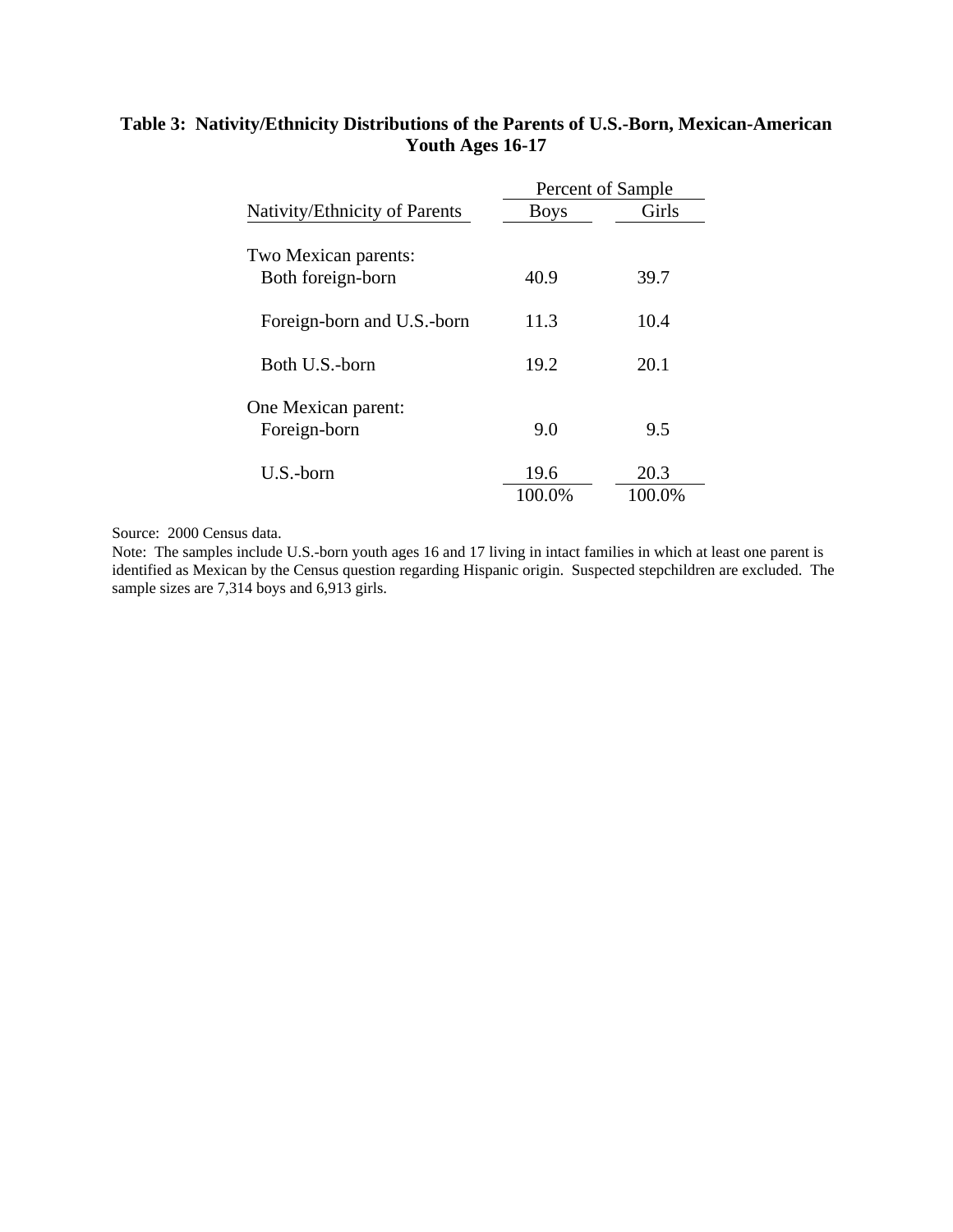# **Table 3: Nativity/Ethnicity Distributions of the Parents of U.S.-Born, Mexican-American Youth Ages 16-17**

|                                     | Percent of Sample |        |  |  |
|-------------------------------------|-------------------|--------|--|--|
| Nativity/Ethnicity of Parents       | <b>Boys</b>       | Girls  |  |  |
| Two Mexican parents:                |                   |        |  |  |
| Both foreign-born                   | 40.9              | 39.7   |  |  |
| Foreign-born and U.S.-born          | 11.3              | 10.4   |  |  |
| Both U.S.-born                      | 19.2              | 20.1   |  |  |
| One Mexican parent:<br>Foreign-born | 9.0               | 9.5    |  |  |
| U.S.-born                           | 19.6              | 20.3   |  |  |
|                                     | 100.0%            | 100.0% |  |  |

Source: 2000 Census data.

Note: The samples include U.S.-born youth ages 16 and 17 living in intact families in which at least one parent is identified as Mexican by the Census question regarding Hispanic origin. Suspected stepchildren are excluded. The sample sizes are 7,314 boys and 6,913 girls.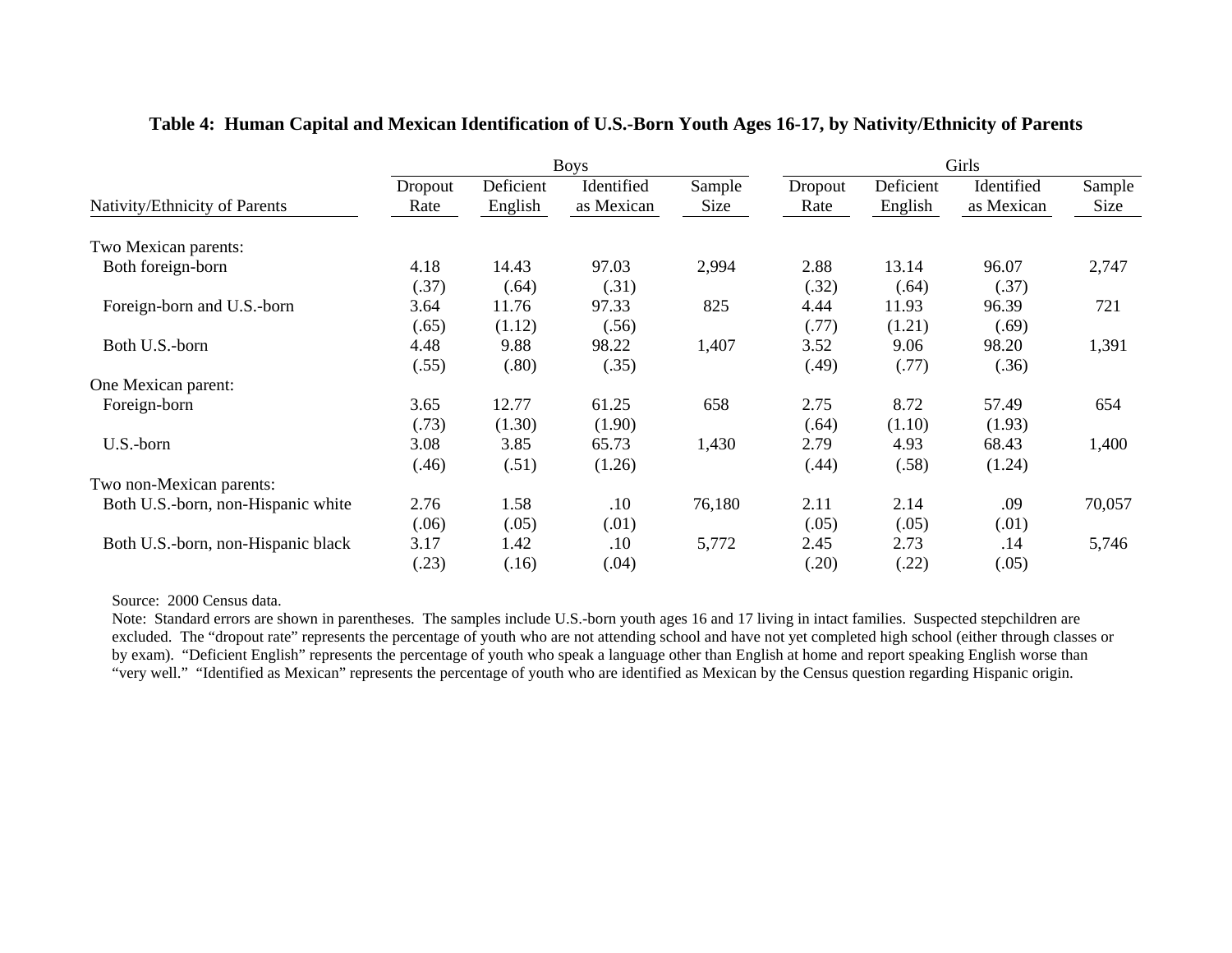|                                    |                 | <b>Boys</b>          |                          |                | Girls           |                      |                          |                |
|------------------------------------|-----------------|----------------------|--------------------------|----------------|-----------------|----------------------|--------------------------|----------------|
| Nativity/Ethnicity of Parents      | Dropout<br>Rate | Deficient<br>English | Identified<br>as Mexican | Sample<br>Size | Dropout<br>Rate | Deficient<br>English | Identified<br>as Mexican | Sample<br>Size |
| Two Mexican parents:               |                 |                      |                          |                |                 |                      |                          |                |
| Both foreign-born                  | 4.18            | 14.43                | 97.03                    | 2,994          | 2.88            | 13.14                | 96.07                    | 2,747          |
|                                    | (.37)           | (.64)                | (.31)                    |                | (.32)           | (.64)                | (.37)                    |                |
| Foreign-born and U.S.-born         | 3.64            | 11.76                | 97.33                    | 825            | 4.44            | 11.93                | 96.39                    | 721            |
|                                    | (.65)           | (1.12)               | (.56)                    |                | (.77)           | (1.21)               | (.69)                    |                |
| Both U.S.-born                     | 4.48            | 9.88                 | 98.22                    | 1,407          | 3.52            | 9.06                 | 98.20                    | 1,391          |
|                                    | (.55)           | (.80)                | (.35)                    |                | (.49)           | (.77)                | (.36)                    |                |
| One Mexican parent:                |                 |                      |                          |                |                 |                      |                          |                |
| Foreign-born                       | 3.65            | 12.77                | 61.25                    | 658            | 2.75            | 8.72                 | 57.49                    | 654            |
|                                    | (.73)           | (1.30)               | (1.90)                   |                | (.64)           | (1.10)               | (1.93)                   |                |
| U.S.-born                          | 3.08            | 3.85                 | 65.73                    | 1,430          | 2.79            | 4.93                 | 68.43                    | 1,400          |
|                                    | (.46)           | (.51)                | (1.26)                   |                | (.44)           | (.58)                | (1.24)                   |                |
| Two non-Mexican parents:           |                 |                      |                          |                |                 |                      |                          |                |
| Both U.S.-born, non-Hispanic white | 2.76            | 1.58                 | .10                      | 76,180         | 2.11            | 2.14                 | .09                      | 70,057         |
|                                    | (.06)           | (.05)                | (.01)                    |                | (.05)           | (.05)                | (.01)                    |                |
| Both U.S.-born, non-Hispanic black | 3.17            | 1.42                 | .10                      | 5,772          | 2.45            | 2.73                 | .14                      | 5,746          |
|                                    | (.23)           | (.16)                | (.04)                    |                | (.20)           | (.22)                | (.05)                    |                |

## **Table 4: Human Capital and Mexican Identification of U.S.-Born Youth Ages 16-17, by Nativity/Ethnicity of Parents**

Source: 2000 Census data.

Note: Standard errors are shown in parentheses. The samples include U.S.-born youth ages 16 and 17 living in intact families. Suspected stepchildren are excluded. The "dropout rate" represents the percentage of youth who are not attending school and have not yet completed high school (either through classes or by exam). "Deficient English" represents the percentage of youth who speak a language other than English at home and report speaking English worse than "very well." "Identified as Mexican" represents the percentage of youth who are identified as Mexican by the Census question regarding Hispanic origin.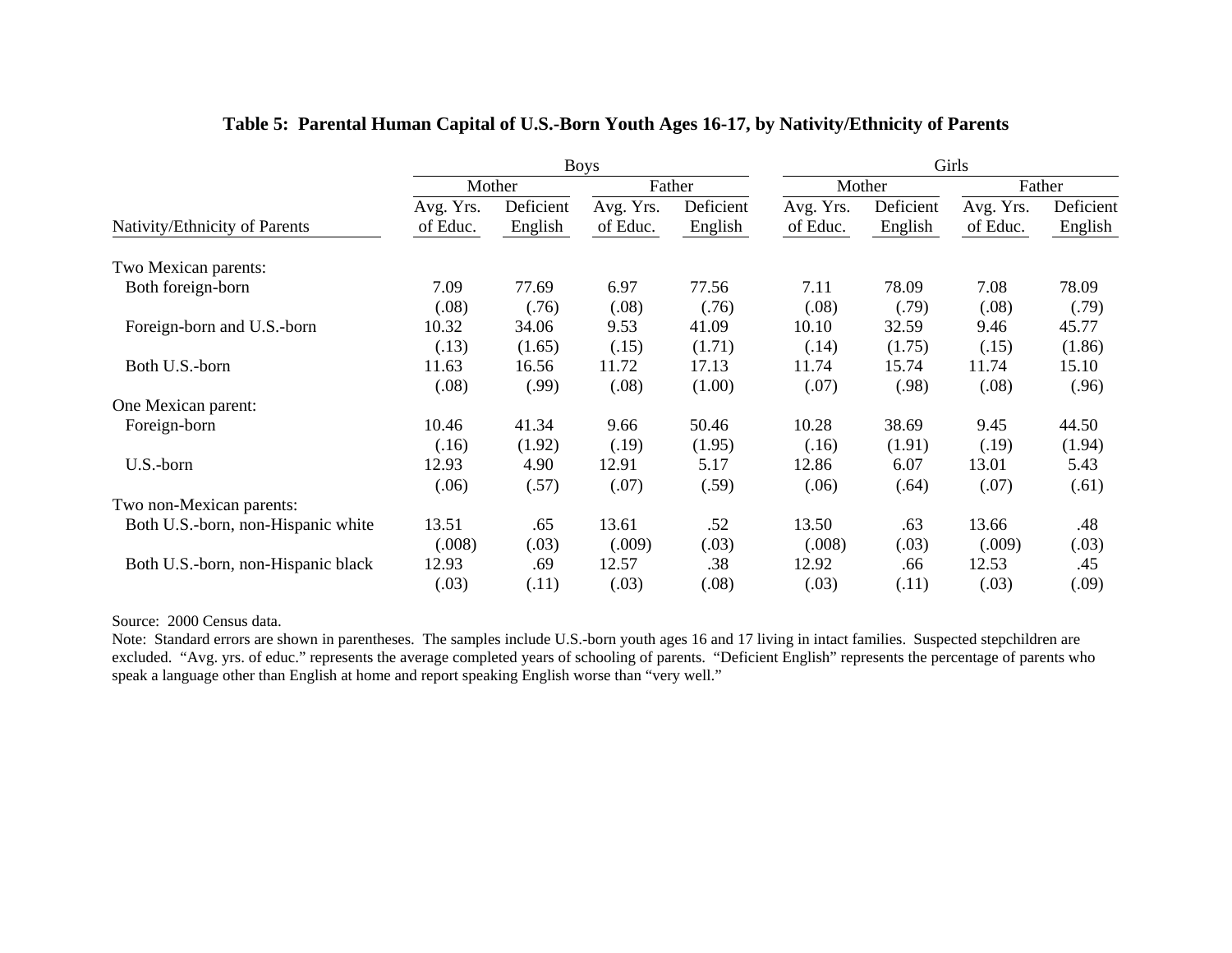|                                    | <b>Boys</b>           |                      |                       |                      | Girls                 |                      |                       |                      |
|------------------------------------|-----------------------|----------------------|-----------------------|----------------------|-----------------------|----------------------|-----------------------|----------------------|
|                                    |                       | Mother               |                       | Father               |                       | Mother               |                       | Father               |
| Nativity/Ethnicity of Parents      | Avg. Yrs.<br>of Educ. | Deficient<br>English | Avg. Yrs.<br>of Educ. | Deficient<br>English | Avg. Yrs.<br>of Educ. | Deficient<br>English | Avg. Yrs.<br>of Educ. | Deficient<br>English |
| Two Mexican parents:               |                       |                      |                       |                      |                       |                      |                       |                      |
| Both foreign-born                  | 7.09                  | 77.69                | 6.97                  | 77.56                | 7.11                  | 78.09                | 7.08                  | 78.09                |
|                                    | (.08)                 | (.76)                | (.08)                 | (.76)                | (.08)                 | (.79)                | (.08)                 | (.79)                |
| Foreign-born and U.S.-born         | 10.32                 | 34.06                | 9.53                  | 41.09                | 10.10                 | 32.59                | 9.46                  | 45.77                |
|                                    | (.13)                 | (1.65)               | (.15)                 | (1.71)               | (.14)                 | (1.75)               | (.15)                 | (1.86)               |
| Both U.S.-born                     | 11.63                 | 16.56                | 11.72                 | 17.13                | 11.74                 | 15.74                | 11.74                 | 15.10                |
|                                    | (.08)                 | (.99)                | (.08)                 | (1.00)               | (.07)                 | (.98)                | (.08)                 | (.96)                |
| One Mexican parent:                |                       |                      |                       |                      |                       |                      |                       |                      |
| Foreign-born                       | 10.46                 | 41.34                | 9.66                  | 50.46                | 10.28                 | 38.69                | 9.45                  | 44.50                |
|                                    | (.16)                 | (1.92)               | (.19)                 | (1.95)               | (.16)                 | (1.91)               | (.19)                 | (1.94)               |
| U.S.-born                          | 12.93                 | 4.90                 | 12.91                 | 5.17                 | 12.86                 | 6.07                 | 13.01                 | 5.43                 |
|                                    | (.06)                 | (.57)                | (.07)                 | (.59)                | (.06)                 | (.64)                | (.07)                 | (.61)                |
| Two non-Mexican parents:           |                       |                      |                       |                      |                       |                      |                       |                      |
| Both U.S.-born, non-Hispanic white | 13.51                 | .65                  | 13.61                 | .52                  | 13.50                 | .63                  | 13.66                 | .48                  |
|                                    | (.008)                | (.03)                | (.009)                | (.03)                | (.008)                | (.03)                | (.009)                | (.03)                |
| Both U.S.-born, non-Hispanic black | 12.93                 | .69                  | 12.57                 | .38                  | 12.92                 | .66                  | 12.53                 | .45                  |
|                                    | (.03)                 | (.11)                | (.03)                 | (.08)                | (.03)                 | (.11)                | (.03)                 | (.09)                |

## **Table 5: Parental Human Capital of U.S.-Born Youth Ages 16-17, by Nativity/Ethnicity of Parents**

#### Source: 2000 Census data.

Note: Standard errors are shown in parentheses. The samples include U.S.-born youth ages 16 and 17 living in intact families. Suspected stepchildren are excluded. "Avg. yrs. of educ." represents the average completed years of schooling of parents. "Deficient English" represents the percentage of parents who speak a language other than English at home and report speaking English worse than "very well."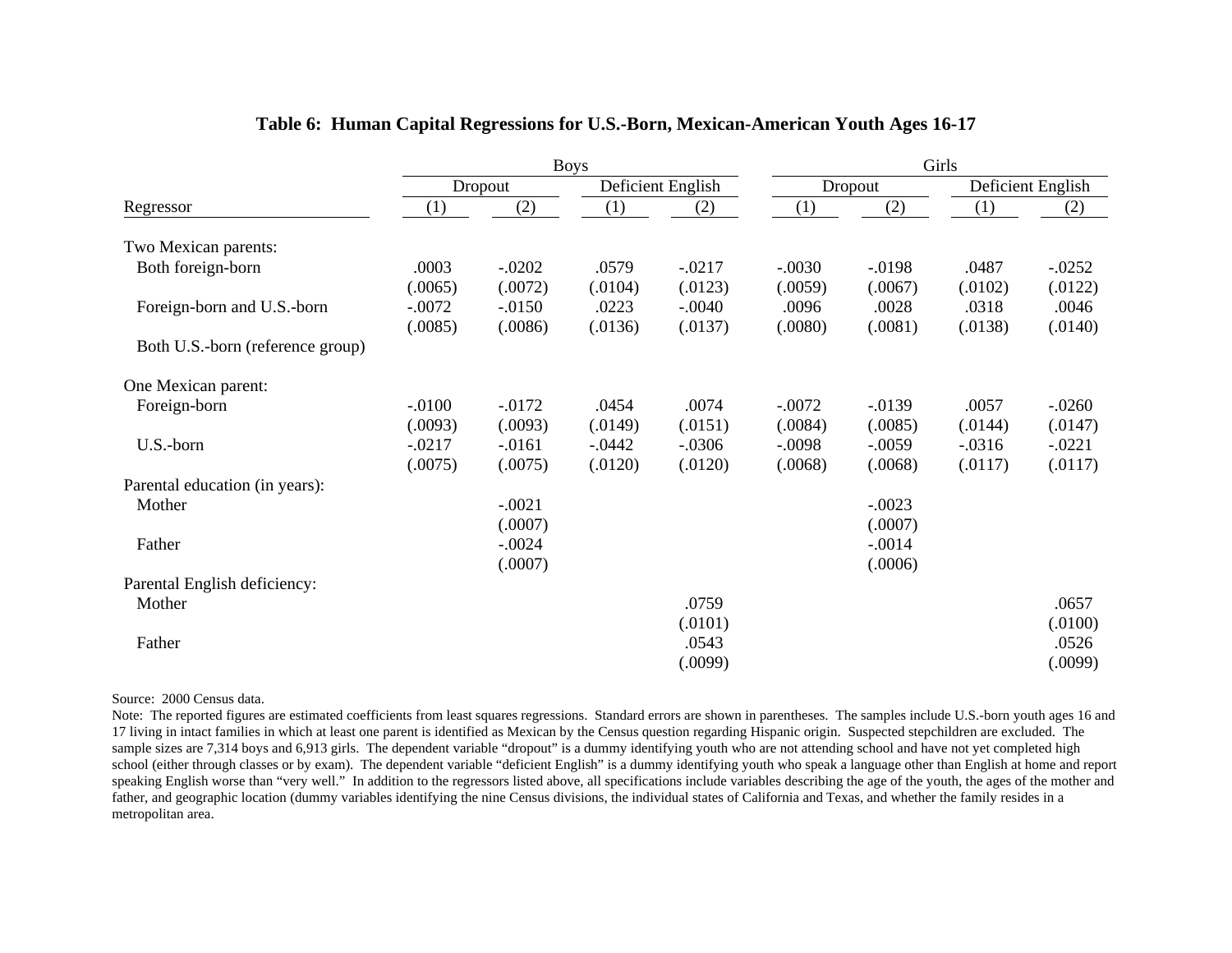|                                  | <b>Boys</b>         |                      |                  |                     | Girls            |                  |                  |                   |  |
|----------------------------------|---------------------|----------------------|------------------|---------------------|------------------|------------------|------------------|-------------------|--|
|                                  |                     | Dropout              |                  | Deficient English   |                  | Dropout          |                  | Deficient English |  |
| Regressor                        | (1)                 | (2)                  | (1)              | (2)                 | (1)              | (2)              | (1)              | (2)               |  |
| Two Mexican parents:             |                     |                      |                  |                     |                  |                  |                  |                   |  |
| Both foreign-born                | .0003               | $-.0202$             | .0579            | $-.0217$            | $-.0030$         | $-.0198$         | .0487            | $-.0252$          |  |
| Foreign-born and U.S.-born       | (.0065)<br>$-.0072$ | (.0072)<br>$-0.0150$ | (.0104)<br>.0223 | (.0123)<br>$-.0040$ | (.0059)<br>.0096 | (.0067)<br>.0028 | (.0102)<br>.0318 | (.0122)<br>.0046  |  |
| Both U.S.-born (reference group) | (.0085)             | (.0086)              | (.0136)          | (.0137)             | (.0080)          | (.0081)          | (.0138)          | (.0140)           |  |
| One Mexican parent:              |                     |                      |                  |                     |                  |                  |                  |                   |  |
| Foreign-born                     | $-.0100$            | $-0.0172$            | .0454            | .0074               | $-.0072$         | $-.0139$         | .0057            | $-.0260$          |  |
|                                  | (.0093)             | (.0093)              | (.0149)          | (.0151)             | (.0084)          | (.0085)          | (.0144)          | (.0147)           |  |
| U.S.-born                        | $-.0217$            | $-0.0161$            | $-0.0442$        | $-.0306$            | $-.0098$         | $-.0059$         | $-.0316$         | $-.0221$          |  |
|                                  | (.0075)             | (.0075)              | (.0120)          | (.0120)             | (.0068)          | (.0068)          | (.0117)          | (.0117)           |  |
| Parental education (in years):   |                     |                      |                  |                     |                  |                  |                  |                   |  |
| Mother                           |                     | $-.0021$             |                  |                     |                  | $-.0023$         |                  |                   |  |
|                                  |                     | (.0007)              |                  |                     |                  | (.0007)          |                  |                   |  |
| Father                           |                     | $-.0024$             |                  |                     |                  | $-.0014$         |                  |                   |  |
|                                  |                     | (.0007)              |                  |                     |                  | (.0006)          |                  |                   |  |
| Parental English deficiency:     |                     |                      |                  |                     |                  |                  |                  |                   |  |
| Mother                           |                     |                      |                  | .0759               |                  |                  |                  | .0657             |  |
|                                  |                     |                      |                  | (.0101)             |                  |                  |                  | (.0100)           |  |
| Father                           |                     |                      |                  | .0543               |                  |                  |                  | .0526             |  |
|                                  |                     |                      |                  | (.0099)             |                  |                  |                  | (.0099)           |  |

## **Table 6: Human Capital Regressions for U.S.-Born, Mexican-American Youth Ages 16-17**

Source: 2000 Census data.

Note: The reported figures are estimated coefficients from least squares regressions. Standard errors are shown in parentheses. The samples include U.S.-born youth ages 16 and 17 living in intact families in which at least one parent is identified as Mexican by the Census question regarding Hispanic origin. Suspected stepchildren are excluded. The sample sizes are 7,314 boys and 6,913 girls. The dependent variable "dropout" is a dummy identifying youth who are not attending school and have not yet completed high school (either through classes or by exam). The dependent variable "deficient English" is a dummy identifying youth who speak a language other than English at home and report speaking English worse than "very well." In addition to the regressors listed above, all specifications include variables describing the age of the youth, the ages of the mother and father, and geographic location (dummy variables identifying the nine Census divisions, the individual states of California and Texas, and whether the family resides in a metropolitan area.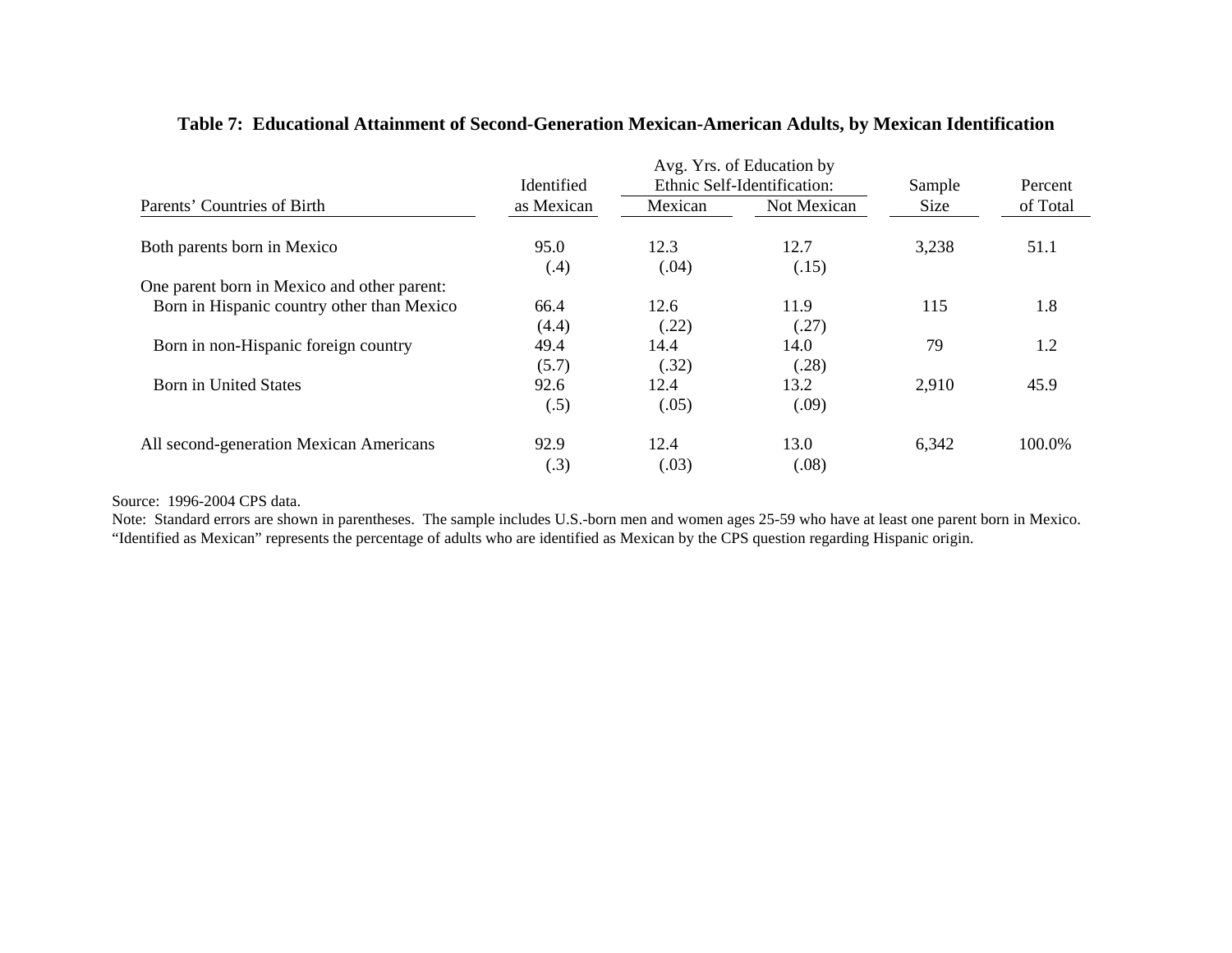|                                             | Identified   |               | Avg. Yrs. of Education by<br>Ethnic Self-Identification: | Sample | Percent  |
|---------------------------------------------|--------------|---------------|----------------------------------------------------------|--------|----------|
| Parents' Countries of Birth                 | as Mexican   | Mexican       | Not Mexican                                              | Size   | of Total |
| Both parents born in Mexico                 | 95.0<br>(.4) | 12.3<br>(.04) | 12.7<br>(.15)                                            | 3,238  | 51.1     |
| One parent born in Mexico and other parent: |              |               |                                                          |        |          |
| Born in Hispanic country other than Mexico  | 66.4         | 12.6          | 11.9                                                     | 115    | 1.8      |
|                                             | (4.4)        | (.22)         | (.27)                                                    |        |          |
| Born in non-Hispanic foreign country        | 49.4         | 14.4          | 14.0                                                     | 79     | 1.2      |
|                                             | (5.7)        | (.32)         | (.28)                                                    |        |          |
| Born in United States                       | 92.6         | 12.4          | 13.2                                                     | 2,910  | 45.9     |
|                                             | (.5)         | (.05)         | (.09)                                                    |        |          |
| All second-generation Mexican Americans     | 92.9<br>(.3) | 12.4<br>(.03) | 13.0<br>(.08)                                            | 6,342  | 100.0%   |

## **Table 7: Educational Attainment of Second-Generation Mexican-American Adults, by Mexican Identification**

Source: 1996-2004 CPS data.

 Note: Standard errors are shown in parentheses. The sample includes U.S.-born men and women ages 25-59 who have at least one parent born in Mexico. "Identified as Mexican" represents the percentage of adults who are identified as Mexican by the CPS question regarding Hispanic origin.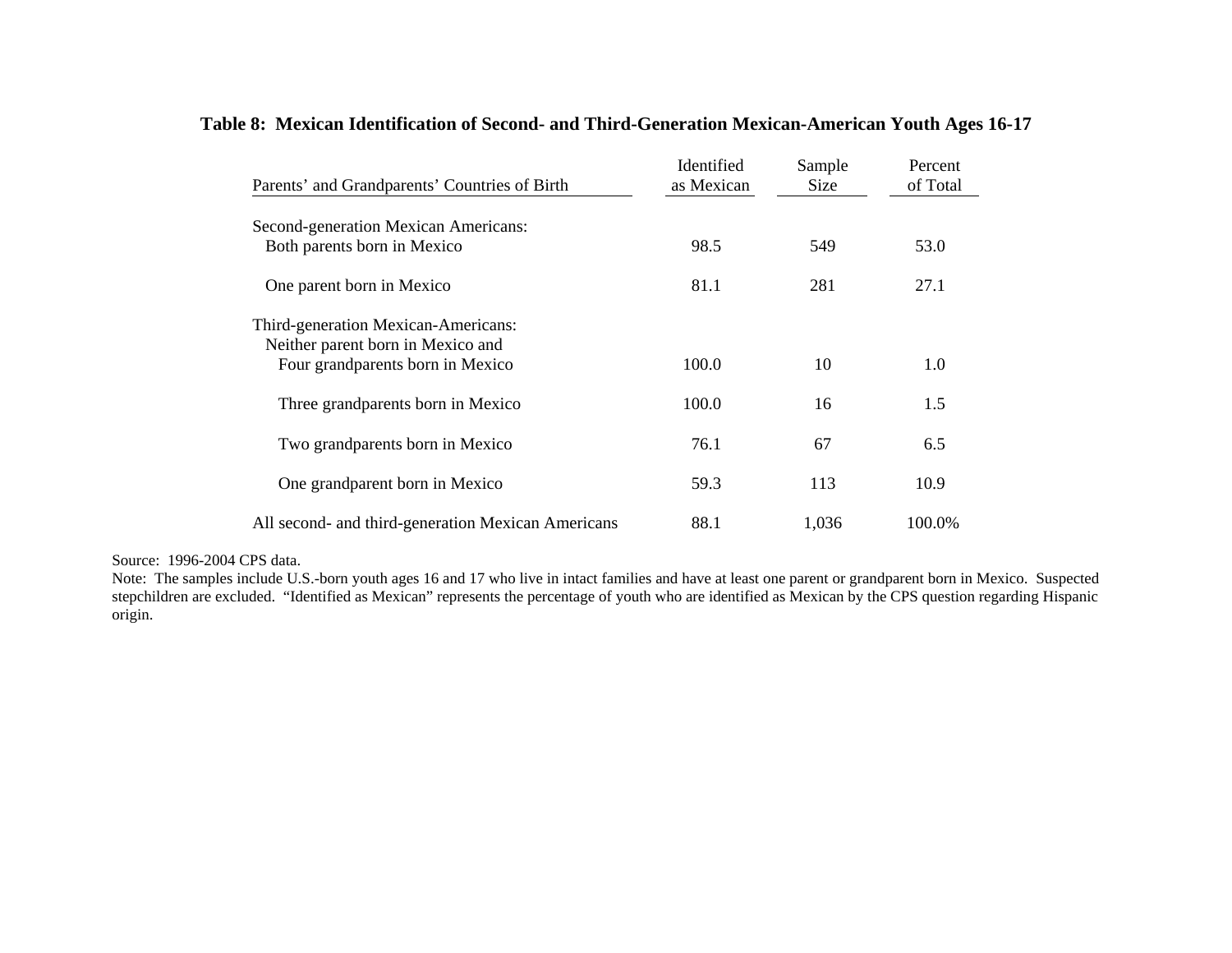## **Table 8: Mexican Identification of Second- and Third-Generation Mexican-American Youth Ages 16-17**

| Parents' and Grandparents' Countries of Birth                         | Identified<br>as Mexican | Sample<br>Size | Percent<br>of Total |
|-----------------------------------------------------------------------|--------------------------|----------------|---------------------|
| Second-generation Mexican Americans:                                  |                          |                |                     |
| Both parents born in Mexico                                           | 98.5                     | 549            | 53.0                |
| One parent born in Mexico                                             | 81.1                     | 281            | 27.1                |
| Third-generation Mexican-Americans:                                   |                          |                |                     |
| Neither parent born in Mexico and<br>Four grandparents born in Mexico | 100.0                    | 10             | 1.0                 |
| Three grandparents born in Mexico                                     | 100.0                    | 16             | 1.5                 |
| Two grandparents born in Mexico                                       | 76.1                     | 67             | 6.5                 |
| One grandparent born in Mexico                                        | 59.3                     | 113            | 10.9                |
| All second- and third-generation Mexican Americans                    | 88.1                     | 1,036          | 100.0%              |

Source: 1996-2004 CPS data.

Note: The samples include U.S.-born youth ages 16 and 17 who live in intact families and have at least one parent or grandparent born in Mexico. Suspected stepchildren are excluded. "Identified as Mexican" represents the percentage of youth who are identified as Mexican by the CPS question regarding Hispanic origin.